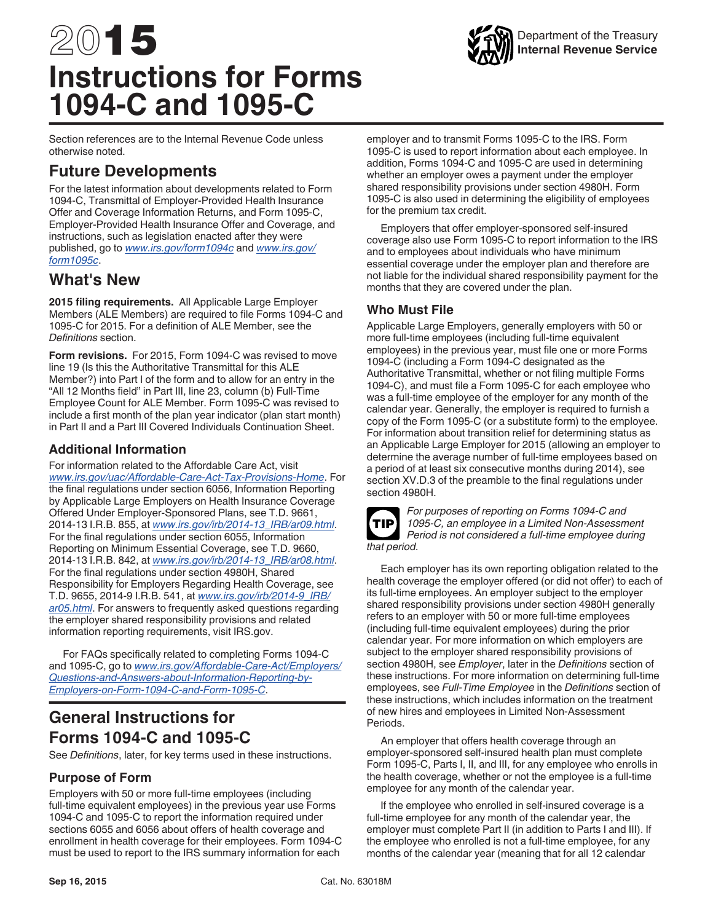# 2015 **Instructions for Forms 1094-C and 1095-C**



Section references are to the Internal Revenue Code unless otherwise noted.

# **Future Developments**

For the latest information about developments related to Form 1094-C, Transmittal of Employer-Provided Health Insurance Offer and Coverage Information Returns, and Form 1095-C, Employer-Provided Health Insurance Offer and Coverage, and instructions, such as legislation enacted after they were published, go to *[www.irs.gov/form1094c](http://www.irs.gov/form1094c)* and *[www.irs.gov/](http://www.irs.gov/form1095c) [form1095c](http://www.irs.gov/form1095c)*.

## **What's New**

**2015 filing requirements.** All Applicable Large Employer Members (ALE Members) are required to file Forms 1094-C and 1095-C for 2015. For a definition of ALE Member, see the *Definitions* section.

**Form revisions.** For 2015, Form 1094-C was revised to move line 19 (Is this the Authoritative Transmittal for this ALE Member?) into Part I of the form and to allow for an entry in the "All 12 Months field" in Part III, line 23, column (b) Full-Time Employee Count for ALE Member. Form 1095-C was revised to include a first month of the plan year indicator (plan start month) in Part II and a Part III Covered Individuals Continuation Sheet.

## **Additional Information**

For information related to the Affordable Care Act, visit *[www.irs.gov/uac/Affordable-Care-Act-Tax-Provisions-Home](http://www.irs.gov/uac/Affordable-Care-Act-Tax-Provisions-Home)*. For the final regulations under section 6056, Information Reporting by Applicable Large Employers on Health Insurance Coverage Offered Under Employer-Sponsored Plans, see T.D. 9661, 2014-13 I.R.B. 855, at *[www.irs.gov/irb/2014-13\\_IRB/ar09.html](http://www.irs.gov/irb/2014-13_IRB/ar09.html)*. For the final regulations under section 6055, Information Reporting on Minimum Essential Coverage, see T.D. 9660, 2014-13 I.R.B. 842, at *[www.irs.gov/irb/2014-13\\_IRB/ar08.html](http://www.irs.gov/irb/2014-13_IRB/ar08.html)*. For the final regulations under section 4980H, Shared Responsibility for Employers Regarding Health Coverage, see T.D. 9655, 2014-9 I.R.B. 541, at *[www.irs.gov/irb/2014-9\\_IRB/](http://www.irs.gov/irb/2014-9_IRB/ar05.html) [ar05.html](http://www.irs.gov/irb/2014-9_IRB/ar05.html)*. For answers to frequently asked questions regarding the employer shared responsibility provisions and related information reporting requirements, visit IRS.gov.

For FAQs specifically related to completing Forms 1094-C and 1095-C, go to *[www.irs.gov/Affordable-Care-Act/Employers/](http://www.irs.gov/Affordable-Care-Act/Employers/Questions-and-Answers-about-Information-Reporting-by-Employers-on-Form-1094-C-and-Form-1095-C) [Questions-and-Answers-about-Information-Reporting-by-](http://www.irs.gov/Affordable-Care-Act/Employers/Questions-and-Answers-about-Information-Reporting-by-Employers-on-Form-1094-C-and-Form-1095-C)[Employers-on-Form-1094-C-and-Form-1095-C](http://www.irs.gov/Affordable-Care-Act/Employers/Questions-and-Answers-about-Information-Reporting-by-Employers-on-Form-1094-C-and-Form-1095-C)*.

# **General Instructions for Forms 1094-C and 1095-C**

See *Definitions*, later, for key terms used in these instructions.

## **Purpose of Form**

Employers with 50 or more full-time employees (including full-time equivalent employees) in the previous year use Forms 1094-C and 1095-C to report the information required under sections 6055 and 6056 about offers of health coverage and enrollment in health coverage for their employees. Form 1094-C must be used to report to the IRS summary information for each employer and to transmit Forms 1095-C to the IRS. Form 1095-C is used to report information about each employee. In addition, Forms 1094-C and 1095-C are used in determining whether an employer owes a payment under the employer shared responsibility provisions under section 4980H. Form 1095-C is also used in determining the eligibility of employees for the premium tax credit.

Employers that offer employer-sponsored self-insured coverage also use Form 1095-C to report information to the IRS and to employees about individuals who have minimum essential coverage under the employer plan and therefore are not liable for the individual shared responsibility payment for the months that they are covered under the plan.

## **Who Must File**

Applicable Large Employers, generally employers with 50 or more full-time employees (including full-time equivalent employees) in the previous year, must file one or more Forms 1094-C (including a Form 1094-C designated as the Authoritative Transmittal, whether or not filing multiple Forms 1094-C), and must file a Form 1095-C for each employee who was a full-time employee of the employer for any month of the calendar year. Generally, the employer is required to furnish a copy of the Form 1095-C (or a substitute form) to the employee. For information about transition relief for determining status as an Applicable Large Employer for 2015 (allowing an employer to determine the average number of full-time employees based on a period of at least six consecutive months during 2014), see section XV.D.3 of the preamble to the final regulations under section 4980H.



*For purposes of reporting on Forms 1094-C and 1095-C, an employee in a Limited Non-Assessment Period is not considered a full-time employee during that period.*

Each employer has its own reporting obligation related to the health coverage the employer offered (or did not offer) to each of its full-time employees. An employer subject to the employer shared responsibility provisions under section 4980H generally refers to an employer with 50 or more full-time employees (including full-time equivalent employees) during the prior calendar year. For more information on which employers are subject to the employer shared responsibility provisions of section 4980H, see *Employer*, later in the *Definitions* section of these instructions. For more information on determining full-time employees, see *Full-Time Employee* in the *Definitions* section of these instructions, which includes information on the treatment of new hires and employees in Limited Non-Assessment Periods.

An employer that offers health coverage through an employer-sponsored self-insured health plan must complete Form 1095-C, Parts I, II, and III, for any employee who enrolls in the health coverage, whether or not the employee is a full-time employee for any month of the calendar year.

If the employee who enrolled in self-insured coverage is a full-time employee for any month of the calendar year, the employer must complete Part II (in addition to Parts I and III). If the employee who enrolled is not a full-time employee, for any months of the calendar year (meaning that for all 12 calendar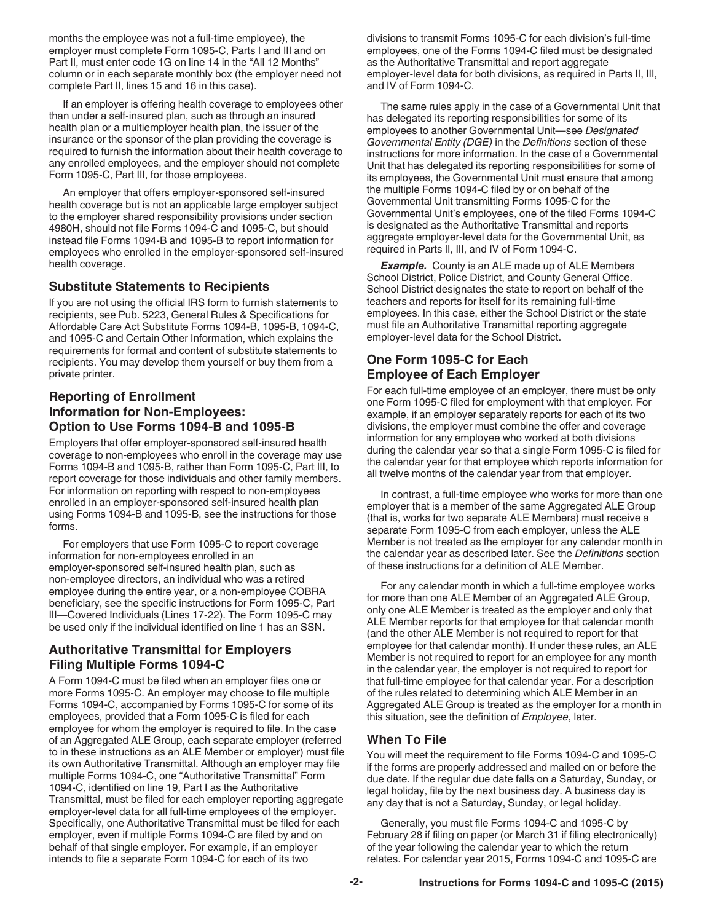months the employee was not a full-time employee), the employer must complete Form 1095-C, Parts I and III and on Part II, must enter code 1G on line 14 in the "All 12 Months" column or in each separate monthly box (the employer need not complete Part II, lines 15 and 16 in this case).

If an employer is offering health coverage to employees other than under a self-insured plan, such as through an insured health plan or a multiemployer health plan, the issuer of the insurance or the sponsor of the plan providing the coverage is required to furnish the information about their health coverage to any enrolled employees, and the employer should not complete Form 1095-C, Part III, for those employees.

An employer that offers employer-sponsored self-insured health coverage but is not an applicable large employer subject to the employer shared responsibility provisions under section 4980H, should not file Forms 1094-C and 1095-C, but should instead file Forms 1094-B and 1095-B to report information for employees who enrolled in the employer-sponsored self-insured health coverage.

## **Substitute Statements to Recipients**

If you are not using the official IRS form to furnish statements to recipients, see Pub. 5223, General Rules & Specifications for Affordable Care Act Substitute Forms 1094-B, 1095-B, 1094-C, and 1095-C and Certain Other Information, which explains the requirements for format and content of substitute statements to recipients. You may develop them yourself or buy them from a private printer.

## **Reporting of Enrollment Information for Non-Employees: Option to Use Forms 1094-B and 1095-B**

Employers that offer employer-sponsored self-insured health coverage to non-employees who enroll in the coverage may use Forms 1094-B and 1095-B, rather than Form 1095-C, Part III, to report coverage for those individuals and other family members. For information on reporting with respect to non-employees enrolled in an employer-sponsored self-insured health plan using Forms 1094-B and 1095-B, see the instructions for those forms.

For employers that use Form 1095-C to report coverage information for non-employees enrolled in an employer-sponsored self-insured health plan, such as non-employee directors, an individual who was a retired employee during the entire year, or a non-employee COBRA beneficiary, see the specific instructions for Form 1095-C, Part III—Covered Individuals (Lines 17-22). The Form 1095-C may be used only if the individual identified on line 1 has an SSN.

## **Authoritative Transmittal for Employers Filing Multiple Forms 1094-C**

A Form 1094-C must be filed when an employer files one or more Forms 1095-C. An employer may choose to file multiple Forms 1094-C, accompanied by Forms 1095-C for some of its employees, provided that a Form 1095-C is filed for each employee for whom the employer is required to file. In the case of an Aggregated ALE Group, each separate employer (referred to in these instructions as an ALE Member or employer) must file its own Authoritative Transmittal. Although an employer may file multiple Forms 1094-C, one "Authoritative Transmittal" Form 1094-C, identified on line 19, Part I as the Authoritative Transmittal, must be filed for each employer reporting aggregate employer-level data for all full-time employees of the employer. Specifically, one Authoritative Transmittal must be filed for each employer, even if multiple Forms 1094-C are filed by and on behalf of that single employer. For example, if an employer intends to file a separate Form 1094-C for each of its two

divisions to transmit Forms 1095-C for each division's full-time employees, one of the Forms 1094-C filed must be designated as the Authoritative Transmittal and report aggregate employer-level data for both divisions, as required in Parts II, III, and IV of Form 1094-C.

The same rules apply in the case of a Governmental Unit that has delegated its reporting responsibilities for some of its employees to another Governmental Unit—see *Designated Governmental Entity (DGE)* in the *Definitions* section of these instructions for more information. In the case of a Governmental Unit that has delegated its reporting responsibilities for some of its employees, the Governmental Unit must ensure that among the multiple Forms 1094-C filed by or on behalf of the Governmental Unit transmitting Forms 1095-C for the Governmental Unit's employees, one of the filed Forms 1094-C is designated as the Authoritative Transmittal and reports aggregate employer-level data for the Governmental Unit, as required in Parts II, III, and IV of Form 1094-C.

*Example.* County is an ALE made up of ALE Members School District, Police District, and County General Office. School District designates the state to report on behalf of the teachers and reports for itself for its remaining full-time employees. In this case, either the School District or the state must file an Authoritative Transmittal reporting aggregate employer-level data for the School District.

## **One Form 1095-C for Each Employee of Each Employer**

For each full-time employee of an employer, there must be only one Form 1095-C filed for employment with that employer. For example, if an employer separately reports for each of its two divisions, the employer must combine the offer and coverage information for any employee who worked at both divisions during the calendar year so that a single Form 1095-C is filed for the calendar year for that employee which reports information for all twelve months of the calendar year from that employer.

In contrast, a full-time employee who works for more than one employer that is a member of the same Aggregated ALE Group (that is, works for two separate ALE Members) must receive a separate Form 1095-C from each employer, unless the ALE Member is not treated as the employer for any calendar month in the calendar year as described later. See the *Definitions* section of these instructions for a definition of ALE Member.

For any calendar month in which a full-time employee works for more than one ALE Member of an Aggregated ALE Group, only one ALE Member is treated as the employer and only that ALE Member reports for that employee for that calendar month (and the other ALE Member is not required to report for that employee for that calendar month). If under these rules, an ALE Member is not required to report for an employee for any month in the calendar year, the employer is not required to report for that full-time employee for that calendar year. For a description of the rules related to determining which ALE Member in an Aggregated ALE Group is treated as the employer for a month in this situation, see the definition of *Employee*, later.

## **When To File**

You will meet the requirement to file Forms 1094-C and 1095-C if the forms are properly addressed and mailed on or before the due date. If the regular due date falls on a Saturday, Sunday, or legal holiday, file by the next business day. A business day is any day that is not a Saturday, Sunday, or legal holiday.

Generally, you must file Forms 1094-C and 1095-C by February 28 if filing on paper (or March 31 if filing electronically) of the year following the calendar year to which the return relates. For calendar year 2015, Forms 1094-C and 1095-C are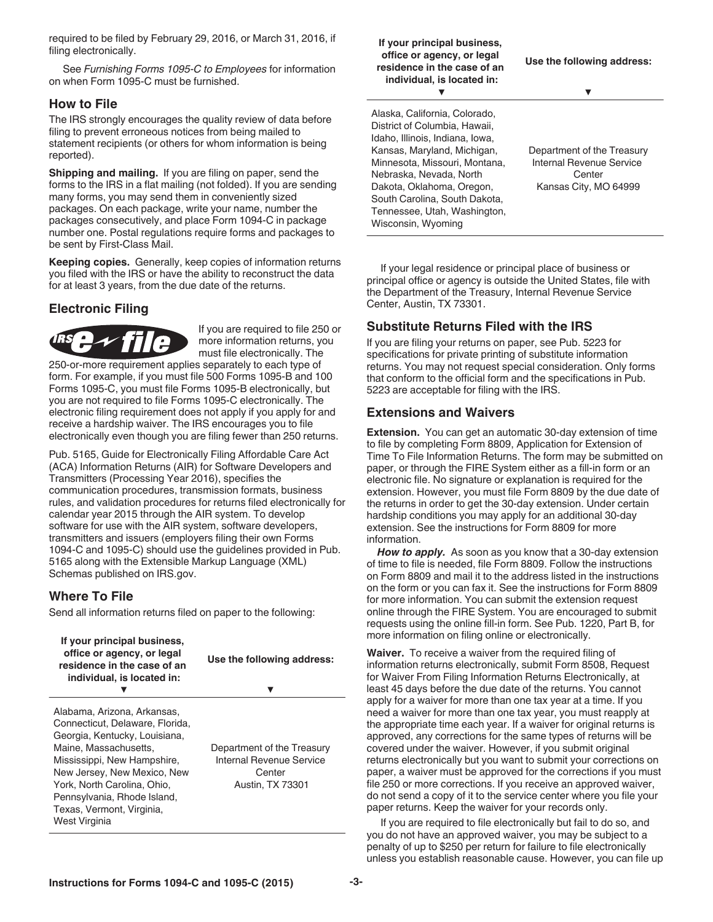required to be filed by February 29, 2016, or March 31, 2016, if filing electronically.

See *Furnishing Forms 1095-C to Employees* for information on when Form 1095-C must be furnished.

#### **How to File**

The IRS strongly encourages the quality review of data before filing to prevent erroneous notices from being mailed to statement recipients (or others for whom information is being reported).

**Shipping and mailing.** If you are filing on paper, send the forms to the IRS in a flat mailing (not folded). If you are sending many forms, you may send them in conveniently sized packages. On each package, write your name, number the packages consecutively, and place Form 1094-C in package number one. Postal regulations require forms and packages to be sent by First-Class Mail.

**Keeping copies.** Generally, keep copies of information returns you filed with the IRS or have the ability to reconstruct the data for at least 3 years, from the due date of the returns.

## **Electronic Filing**



If you are required to file 250 or more information returns, you must file electronically. The

250-or-more requirement applies separately to each type of form. For example, if you must file 500 Forms 1095-B and 100 Forms 1095-C, you must file Forms 1095-B electronically, but you are not required to file Forms 1095-C electronically. The electronic filing requirement does not apply if you apply for and receive a hardship waiver. The IRS encourages you to file electronically even though you are filing fewer than 250 returns.

Pub. 5165, Guide for Electronically Filing Affordable Care Act (ACA) Information Returns (AIR) for Software Developers and Transmitters (Processing Year 2016), specifies the communication procedures, transmission formats, business rules, and validation procedures for returns filed electronically for calendar year 2015 through the AIR system. To develop software for use with the AIR system, software developers, transmitters and issuers (employers filing their own Forms 1094-C and 1095-C) should use the guidelines provided in Pub. 5165 along with the Extensible Markup Language (XML) Schemas published on IRS.gov.

#### **Where To File**

Send all information returns filed on paper to the following:

| If your principal business,<br>office or agency, or legal<br>residence in the case of an<br>individual, is located in:                                                                                                                                                                             | Use the following address:                                                                  |
|----------------------------------------------------------------------------------------------------------------------------------------------------------------------------------------------------------------------------------------------------------------------------------------------------|---------------------------------------------------------------------------------------------|
| Alabama, Arizona, Arkansas,<br>Connecticut, Delaware, Florida,<br>Georgia, Kentucky, Louisiana,<br>Maine, Massachusetts.<br>Mississippi, New Hampshire,<br>New Jersey, New Mexico, New<br>York, North Carolina, Ohio,<br>Pennsylvania, Rhode Island,<br>Texas, Vermont, Virginia,<br>West Virginia | Department of the Treasury<br>Internal Revenue Service<br>Center<br><b>Austin, TX 73301</b> |

| If your principal business,<br>office or agency, or legal<br>residence in the case of an<br>individual, is located in:                                                                                                                                                                     | Use the following address:                                                                |
|--------------------------------------------------------------------------------------------------------------------------------------------------------------------------------------------------------------------------------------------------------------------------------------------|-------------------------------------------------------------------------------------------|
| Alaska, California, Colorado,<br>District of Columbia, Hawaii,<br>Idaho, Illinois, Indiana, Iowa,<br>Kansas, Maryland, Michigan,<br>Minnesota, Missouri, Montana,<br>Nebraska, Nevada, North<br>Dakota, Oklahoma, Oregon,<br>South Carolina, South Dakota,<br>Tennessee, Utah, Washington, | Department of the Treasury<br>Internal Revenue Service<br>Center<br>Kansas City, MO 64999 |
| Wisconsin, Wyoming                                                                                                                                                                                                                                                                         |                                                                                           |

If your legal residence or principal place of business or principal office or agency is outside the United States, file with the Department of the Treasury, Internal Revenue Service Center, Austin, TX 73301.

#### **Substitute Returns Filed with the IRS**

If you are filing your returns on paper, see Pub. 5223 for specifications for private printing of substitute information returns. You may not request special consideration. Only forms that conform to the official form and the specifications in Pub. 5223 are acceptable for filing with the IRS.

#### **Extensions and Waivers**

**Extension.** You can get an automatic 30-day extension of time to file by completing Form 8809, Application for Extension of Time To File Information Returns. The form may be submitted on paper, or through the FIRE System either as a fill-in form or an electronic file. No signature or explanation is required for the extension. However, you must file Form 8809 by the due date of the returns in order to get the 30-day extension. Under certain hardship conditions you may apply for an additional 30-day extension. See the instructions for Form 8809 for more information.

*How to apply.* As soon as you know that a 30-day extension of time to file is needed, file Form 8809. Follow the instructions on Form 8809 and mail it to the address listed in the instructions on the form or you can fax it. See the instructions for Form 8809 for more information. You can submit the extension request online through the FIRE System. You are encouraged to submit requests using the online fill-in form. See Pub. 1220, Part B, for more information on filing online or electronically.

**Waiver.** To receive a waiver from the required filing of information returns electronically, submit Form 8508, Request for Waiver From Filing Information Returns Electronically, at least 45 days before the due date of the returns. You cannot apply for a waiver for more than one tax year at a time. If you need a waiver for more than one tax year, you must reapply at the appropriate time each year. If a waiver for original returns is approved, any corrections for the same types of returns will be covered under the waiver. However, if you submit original returns electronically but you want to submit your corrections on paper, a waiver must be approved for the corrections if you must file 250 or more corrections. If you receive an approved waiver, do not send a copy of it to the service center where you file your paper returns. Keep the waiver for your records only.

If you are required to file electronically but fail to do so, and you do not have an approved waiver, you may be subject to a penalty of up to \$250 per return for failure to file electronically unless you establish reasonable cause. However, you can file up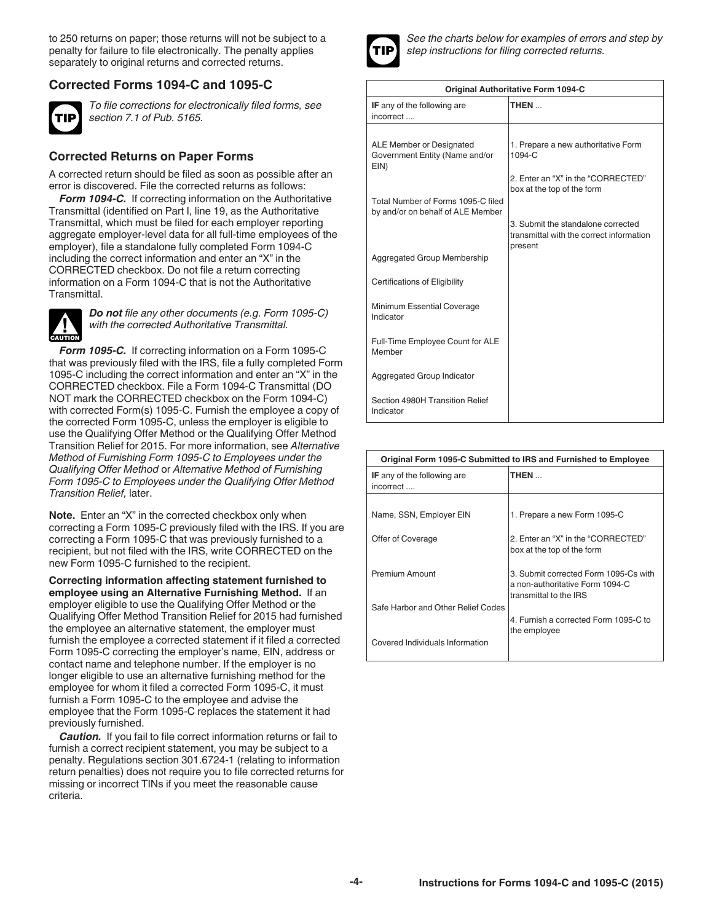to 250 returns on paper; those returns will not be subject to a penalty for failure to file electronically. The penalty applies separately to original returns and corrected returns.

## **Corrected Forms 1094-C and 1095-C**



*To file corrections for electronically filed forms, see section 7.1 of Pub. 5165.*

## **Corrected Returns on Paper Forms**

A corrected return should be filed as soon as possible after an error is discovered. File the corrected returns as follows:

*Form 1094-C.* If correcting information on the Authoritative Transmittal (identified on Part I, line 19, as the Authoritative Transmittal, which must be filed for each employer reporting aggregate employer-level data for all full-time employees of the employer), file a standalone fully completed Form 1094-C including the correct information and enter an "X" in the CORRECTED checkbox. Do not file a return correcting information on a Form 1094-C that is not the Authoritative Transmittal.



*Do not file any other documents (e.g. Form 1095-C) with the corrected Authoritative Transmittal.*

*Form 1095-C.* If correcting information on a Form 1095-C that was previously filed with the IRS, file a fully completed Form 1095-C including the correct information and enter an "X" in the CORRECTED checkbox. File a Form 1094-C Transmittal (DO NOT mark the CORRECTED checkbox on the Form 1094-C) with corrected Form(s) 1095-C. Furnish the employee a copy of the corrected Form 1095-C, unless the employer is eligible to use the Qualifying Offer Method or the Qualifying Offer Method Transition Relief for 2015. For more information, see *Alternative Method of Furnishing Form 1095-C to Employees under the Qualifying Offer Method* or *Alternative Method of Furnishing Form 1095-C to Employees under the Qualifying Offer Method Transition Relief,* later.

**Note.** Enter an "X" in the corrected checkbox only when correcting a Form 1095-C previously filed with the IRS. If you are correcting a Form 1095-C that was previously furnished to a recipient, but not filed with the IRS, write CORRECTED on the new Form 1095-C furnished to the recipient.

**Correcting information affecting statement furnished to employee using an Alternative Furnishing Method.** If an employer eligible to use the Qualifying Offer Method or the Qualifying Offer Method Transition Relief for 2015 had furnished the employee an alternative statement, the employer must furnish the employee a corrected statement if it filed a corrected Form 1095-C correcting the employer's name, EIN, address or contact name and telephone number. If the employer is no longer eligible to use an alternative furnishing method for the employee for whom it filed a corrected Form 1095-C, it must furnish a Form 1095-C to the employee and advise the employee that the Form 1095-C replaces the statement it had previously furnished.

*Caution.* If you fail to file correct information returns or fail to furnish a correct recipient statement, you may be subject to a penalty. Regulations section 301.6724-1 (relating to information return penalties) does not require you to file corrected returns for missing or incorrect TINs if you meet the reasonable cause criteria.



*See the charts below for examples of errors and step by step instructions for filing corrected returns.*

| Original Authoritative Form 1094-C                                      |                                                                                           |  |  |
|-------------------------------------------------------------------------|-------------------------------------------------------------------------------------------|--|--|
| IF any of the following are<br>incorrect                                | THEN                                                                                      |  |  |
|                                                                         |                                                                                           |  |  |
| ALE Member or Designated<br>Government Entity (Name and/or<br>EIN)      | 1. Prepare a new authoritative Form<br>1094-C                                             |  |  |
|                                                                         | 2. Enter an "X" in the "CORRECTED"<br>box at the top of the form                          |  |  |
| Total Number of Forms 1095-C filed<br>by and/or on behalf of ALE Member |                                                                                           |  |  |
|                                                                         | 3. Submit the standalone corrected<br>transmittal with the correct information<br>present |  |  |
| Aggregated Group Membership                                             |                                                                                           |  |  |
| Certifications of Eligibility                                           |                                                                                           |  |  |
| Minimum Essential Coverage<br>Indicator                                 |                                                                                           |  |  |
| Full-Time Employee Count for ALE<br>Member                              |                                                                                           |  |  |
| Aggregated Group Indicator                                              |                                                                                           |  |  |
| Section 4980H Transition Relief<br>Indicator                            |                                                                                           |  |  |

| Original Form 1095-C Submitted to IRS and Furnished to Employee |                                                                                                    |  |
|-----------------------------------------------------------------|----------------------------------------------------------------------------------------------------|--|
| <b>IF</b> any of the following are<br>incorrect                 | THEN                                                                                               |  |
|                                                                 |                                                                                                    |  |
| Name, SSN, Employer EIN                                         | 1. Prepare a new Form 1095-C                                                                       |  |
| Offer of Coverage                                               | 2. Enter an "X" in the "CORRECTED"<br>box at the top of the form                                   |  |
| Premium Amount                                                  | 3. Submit corrected Form 1095-Cs with<br>a non-authoritative Form 1094-C<br>transmittal to the IRS |  |
| Safe Harbor and Other Relief Codes                              |                                                                                                    |  |
|                                                                 | 4. Furnish a corrected Form 1095-C to<br>the employee                                              |  |
| Covered Individuals Information                                 |                                                                                                    |  |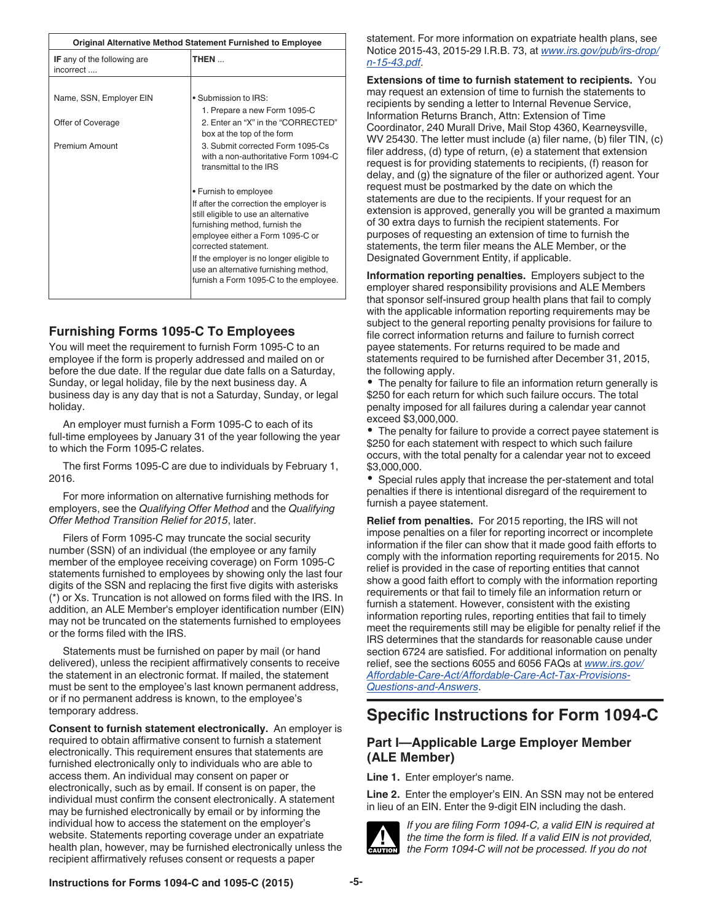| <b>Original Alternative Method Statement Furnished to Employee</b> |                                                                                                                                                                               |  |
|--------------------------------------------------------------------|-------------------------------------------------------------------------------------------------------------------------------------------------------------------------------|--|
| <b>IF</b> any of the following are<br>incorrect                    | THEN                                                                                                                                                                          |  |
|                                                                    |                                                                                                                                                                               |  |
| Name, SSN, Employer EIN                                            | • Submission to IRS:                                                                                                                                                          |  |
|                                                                    | 1. Prepare a new Form 1095-C                                                                                                                                                  |  |
| Offer of Coverage                                                  | 2. Enter an "X" in the "CORRECTED"<br>box at the top of the form                                                                                                              |  |
| <b>Premium Amount</b>                                              | 3. Submit corrected Form 1095-Cs<br>with a non-authoritative Form 1094-C<br>transmittal to the IRS                                                                            |  |
|                                                                    | • Furnish to employee                                                                                                                                                         |  |
|                                                                    | If after the correction the employer is<br>still eligible to use an alternative<br>furnishing method, furnish the<br>employee either a Form 1095-C or<br>corrected statement. |  |
|                                                                    | If the employer is no longer eligible to<br>use an alternative furnishing method,<br>furnish a Form 1095-C to the employee.                                                   |  |

## **Furnishing Forms 1095-C To Employees**

You will meet the requirement to furnish Form 1095-C to an employee if the form is properly addressed and mailed on or before the due date. If the regular due date falls on a Saturday, Sunday, or legal holiday, file by the next business day. A business day is any day that is not a Saturday, Sunday, or legal holiday.

An employer must furnish a Form 1095-C to each of its full-time employees by January 31 of the year following the year to which the Form 1095-C relates.

The first Forms 1095-C are due to individuals by February 1, 2016.

For more information on alternative furnishing methods for employers, see the *Qualifying Offer Method* and the *Qualifying Offer Method Transition Relief for 2015*, later.

Filers of Form 1095-C may truncate the social security number (SSN) of an individual (the employee or any family member of the employee receiving coverage) on Form 1095-C statements furnished to employees by showing only the last four digits of the SSN and replacing the first five digits with asterisks (\*) or Xs. Truncation is not allowed on forms filed with the IRS. In addition, an ALE Member's employer identification number (EIN) may not be truncated on the statements furnished to employees or the forms filed with the IRS.

Statements must be furnished on paper by mail (or hand delivered), unless the recipient affirmatively consents to receive the statement in an electronic format. If mailed, the statement must be sent to the employee's last known permanent address, or if no permanent address is known, to the employee's temporary address.

**Consent to furnish statement electronically.** An employer is required to obtain affirmative consent to furnish a statement electronically. This requirement ensures that statements are furnished electronically only to individuals who are able to access them. An individual may consent on paper or electronically, such as by email. If consent is on paper, the individual must confirm the consent electronically. A statement may be furnished electronically by email or by informing the individual how to access the statement on the employer's website. Statements reporting coverage under an expatriate health plan, however, may be furnished electronically unless the recipient affirmatively refuses consent or requests a paper

statement. For more information on expatriate health plans, see Notice 2015-43, 2015-29 I.R.B. 73, at *[www.irs.gov/pub/irs-drop/](http://www.irs.gov/pub/irs-drop/n-15-43.pdf) [n-15-43.pdf](http://www.irs.gov/pub/irs-drop/n-15-43.pdf)*.

**Extensions of time to furnish statement to recipients.** You may request an extension of time to furnish the statements to recipients by sending a letter to Internal Revenue Service, Information Returns Branch, Attn: Extension of Time Coordinator, 240 Murall Drive, Mail Stop 4360, Kearneysville, WV 25430. The letter must include (a) filer name, (b) filer TIN, (c) filer address, (d) type of return, (e) a statement that extension request is for providing statements to recipients, (f) reason for delay, and (g) the signature of the filer or authorized agent. Your request must be postmarked by the date on which the statements are due to the recipients. If your request for an extension is approved, generally you will be granted a maximum of 30 extra days to furnish the recipient statements. For purposes of requesting an extension of time to furnish the statements, the term filer means the ALE Member, or the Designated Government Entity, if applicable.

**Information reporting penalties.** Employers subject to the employer shared responsibility provisions and ALE Members that sponsor self-insured group health plans that fail to comply with the applicable information reporting requirements may be subject to the general reporting penalty provisions for failure to file correct information returns and failure to furnish correct payee statements. For returns required to be made and statements required to be furnished after December 31, 2015, the following apply.

The penalty for failure to file an information return generally is \$250 for each return for which such failure occurs. The total penalty imposed for all failures during a calendar year cannot exceed \$3,000,000.

The penalty for failure to provide a correct payee statement is \$250 for each statement with respect to which such failure occurs, with the total penalty for a calendar year not to exceed \$3,000,000.

Special rules apply that increase the per-statement and total penalties if there is intentional disregard of the requirement to furnish a payee statement.

**Relief from penalties.** For 2015 reporting, the IRS will not impose penalties on a filer for reporting incorrect or incomplete information if the filer can show that it made good faith efforts to comply with the information reporting requirements for 2015. No relief is provided in the case of reporting entities that cannot show a good faith effort to comply with the information reporting requirements or that fail to timely file an information return or furnish a statement. However, consistent with the existing information reporting rules, reporting entities that fail to timely meet the requirements still may be eligible for penalty relief if the IRS determines that the standards for reasonable cause under section 6724 are satisfied. For additional information on penalty relief, see the sections 6055 and 6056 FAQs at *[www.irs.gov/](http://www.irs.gov/Affordable-Care-Act/Affordable-Care-Act-Tax-Provisions-Questions-and-Answers) [Affordable-Care-Act/Affordable-Care-Act-Tax-Provisions-](http://www.irs.gov/Affordable-Care-Act/Affordable-Care-Act-Tax-Provisions-Questions-and-Answers)[Questions-and-Answers](http://www.irs.gov/Affordable-Care-Act/Affordable-Care-Act-Tax-Provisions-Questions-and-Answers)*.

# **Specific Instructions for Form 1094-C**

## **Part I—Applicable Large Employer Member (ALE Member)**

**Line 1.** Enter employer's name.

**Line 2.** Enter the employer's EIN. An SSN may not be entered in lieu of an EIN. Enter the 9-digit EIN including the dash.



*If you are filing Form 1094-C, a valid EIN is required at the time the form is filed. If a valid EIN is not provided, the Form 1094-C will not be processed. If you do not* 

#### **Instructions for Forms 1094-C and 1095-C (2015) -5-**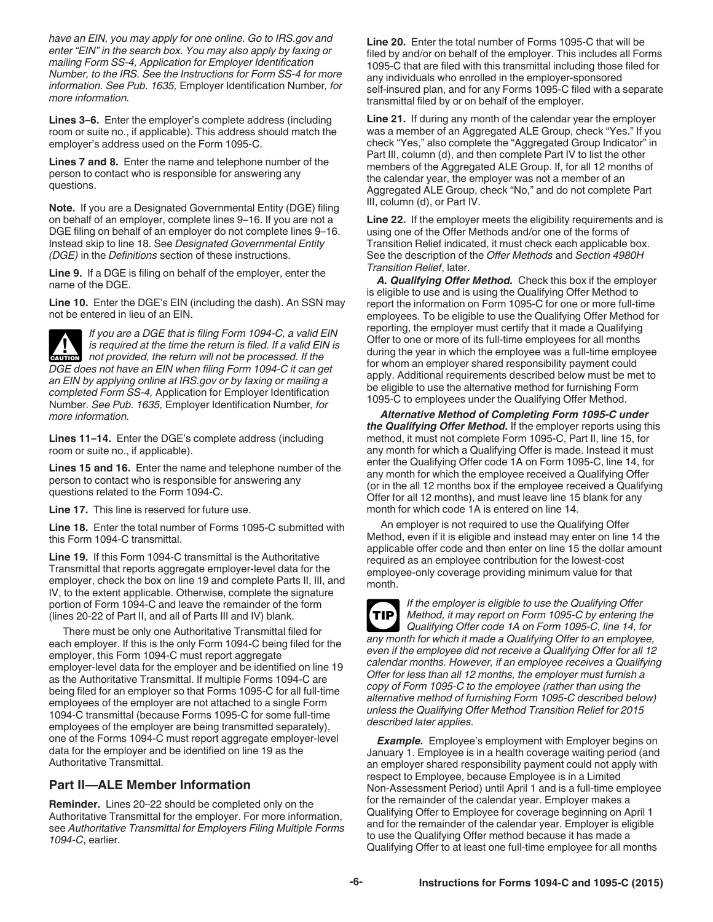*have an EIN, you may apply for one online. Go to IRS.gov and enter "EIN" in the search box. You may also apply by faxing or mailing Form SS-4, Application for Employer Identification Number, to the IRS. See the Instructions for Form SS-4 for more information. See Pub. 1635,* Employer Identification Number*, for more information.*

**Lines 3–6.** Enter the employer's complete address (including room or suite no., if applicable). This address should match the employer's address used on the Form 1095-C.

**Lines 7 and 8.** Enter the name and telephone number of the person to contact who is responsible for answering any questions.

**Note.** If you are a Designated Governmental Entity (DGE) filing on behalf of an employer, complete lines 9–16. If you are not a DGE filing on behalf of an employer do not complete lines 9–16. Instead skip to line 18. See *Designated Governmental Entity (DGE)* in the *Definitions* section of these instructions.

**Line 9.** If a DGE is filing on behalf of the employer, enter the name of the DGE.

**Line 10.** Enter the DGE's EIN (including the dash). An SSN may not be entered in lieu of an EIN.



**Lines 11–14.** Enter the DGE's complete address (including room or suite no., if applicable).

**Lines 15 and 16.** Enter the name and telephone number of the person to contact who is responsible for answering any questions related to the Form 1094-C.

**Line 17.** This line is reserved for future use.

**Line 18.** Enter the total number of Forms 1095-C submitted with this Form 1094-C transmittal.

**Line 19.** If this Form 1094-C transmittal is the Authoritative Transmittal that reports aggregate employer-level data for the employer, check the box on line 19 and complete Parts II, III, and IV, to the extent applicable. Otherwise, complete the signature portion of Form 1094-C and leave the remainder of the form (lines 20-22 of Part II, and all of Parts III and IV) blank.

There must be only one Authoritative Transmittal filed for each employer. If this is the only Form 1094-C being filed for the employer, this Form 1094-C must report aggregate employer-level data for the employer and be identified on line 19 as the Authoritative Transmittal. If multiple Forms 1094-C are being filed for an employer so that Forms 1095-C for all full-time employees of the employer are not attached to a single Form 1094-C transmittal (because Forms 1095-C for some full-time employees of the employer are being transmitted separately), one of the Forms 1094-C must report aggregate employer-level data for the employer and be identified on line 19 as the Authoritative Transmittal.

#### **Part II—ALE Member Information**

**Reminder.** Lines 20–22 should be completed only on the Authoritative Transmittal for the employer. For more information, see *Authoritative Transmittal for Employers Filing Multiple Forms 1094-C*, earlier.

**Line 20.** Enter the total number of Forms 1095-C that will be filed by and/or on behalf of the employer. This includes all Forms 1095-C that are filed with this transmittal including those filed for any individuals who enrolled in the employer-sponsored self-insured plan, and for any Forms 1095-C filed with a separate transmittal filed by or on behalf of the employer.

**Line 21.** If during any month of the calendar year the employer was a member of an Aggregated ALE Group, check "Yes." If you check "Yes," also complete the "Aggregated Group Indicator" in Part III, column (d), and then complete Part IV to list the other members of the Aggregated ALE Group. If, for all 12 months of the calendar year, the employer was not a member of an Aggregated ALE Group, check "No," and do not complete Part III, column (d), or Part IV.

**Line 22.** If the employer meets the eligibility requirements and is using one of the Offer Methods and/or one of the forms of Transition Relief indicated, it must check each applicable box. See the description of the *Offer Methods* and *Section 4980H Transition Relief*, later.

*A. Qualifying Offer Method.* Check this box if the employer is eligible to use and is using the Qualifying Offer Method to report the information on Form 1095-C for one or more full-time employees. To be eligible to use the Qualifying Offer Method for reporting, the employer must certify that it made a Qualifying Offer to one or more of its full-time employees for all months during the year in which the employee was a full-time employee for whom an employer shared responsibility payment could apply. Additional requirements described below must be met to be eligible to use the alternative method for furnishing Form 1095-C to employees under the Qualifying Offer Method.

*Alternative Method of Completing Form 1095-C under the Qualifying Offer Method.* If the employer reports using this method, it must not complete Form 1095-C, Part II, line 15, for any month for which a Qualifying Offer is made. Instead it must enter the Qualifying Offer code 1A on Form 1095-C, line 14, for any month for which the employee received a Qualifying Offer (or in the all 12 months box if the employee received a Qualifying Offer for all 12 months), and must leave line 15 blank for any month for which code 1A is entered on line 14.

An employer is not required to use the Qualifying Offer Method, even if it is eligible and instead may enter on line 14 the applicable offer code and then enter on line 15 the dollar amount required as an employee contribution for the lowest-cost employee-only coverage providing minimum value for that month.

*If the employer is eligible to use the Qualifying Offer Method, it may report on Form 1095-C by entering the Qualifying Offer code 1A on Form 1095-C, line 14, for any month for which it made a Qualifying Offer to an employee, even if the employee did not receive a Qualifying Offer for all 12 calendar months. However, if an employee receives a Qualifying Offer for less than all 12 months, the employer must furnish a copy of Form 1095-C to the employee (rather than using the alternative method of furnishing Form 1095-C described below) unless the Qualifying Offer Method Transition Relief for 2015 described later applies.* **TIP**

**Example.** Employee's employment with Employer begins on January 1. Employee is in a health coverage waiting period (and an employer shared responsibility payment could not apply with respect to Employee, because Employee is in a Limited Non-Assessment Period) until April 1 and is a full-time employee for the remainder of the calendar year. Employer makes a Qualifying Offer to Employee for coverage beginning on April 1 and for the remainder of the calendar year. Employer is eligible to use the Qualifying Offer method because it has made a Qualifying Offer to at least one full-time employee for all months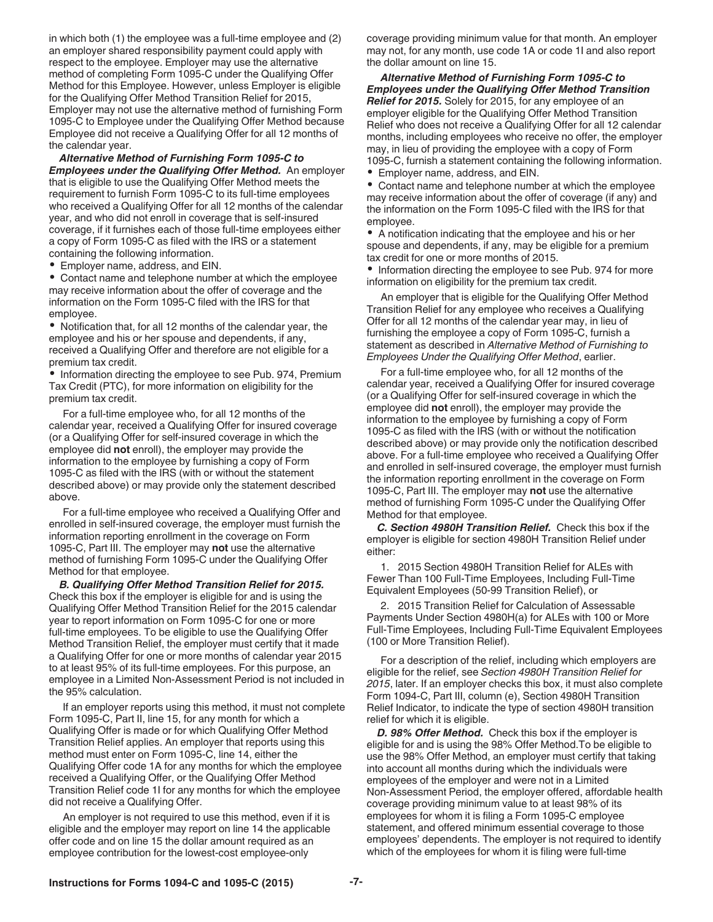in which both (1) the employee was a full-time employee and (2) an employer shared responsibility payment could apply with respect to the employee. Employer may use the alternative method of completing Form 1095-C under the Qualifying Offer Method for this Employee. However, unless Employer is eligible for the Qualifying Offer Method Transition Relief for 2015, Employer may not use the alternative method of furnishing Form 1095-C to Employee under the Qualifying Offer Method because Employee did not receive a Qualifying Offer for all 12 months of the calendar year.

*Alternative Method of Furnishing Form 1095-C to Employees under the Qualifying Offer Method.* An employer that is eligible to use the Qualifying Offer Method meets the requirement to furnish Form 1095-C to its full-time employees who received a Qualifying Offer for all 12 months of the calendar year, and who did not enroll in coverage that is self-insured coverage, if it furnishes each of those full-time employees either a copy of Form 1095-C as filed with the IRS or a statement containing the following information.

Employer name, address, and EIN.

Contact name and telephone number at which the employee may receive information about the offer of coverage and the information on the Form 1095-C filed with the IRS for that employee.

Notification that, for all 12 months of the calendar year, the employee and his or her spouse and dependents, if any, received a Qualifying Offer and therefore are not eligible for a premium tax credit.

• Information directing the employee to see Pub. 974, Premium Tax Credit (PTC), for more information on eligibility for the premium tax credit.

For a full-time employee who, for all 12 months of the calendar year, received a Qualifying Offer for insured coverage (or a Qualifying Offer for self-insured coverage in which the employee did **not** enroll), the employer may provide the information to the employee by furnishing a copy of Form 1095-C as filed with the IRS (with or without the statement described above) or may provide only the statement described above.

For a full-time employee who received a Qualifying Offer and enrolled in self-insured coverage, the employer must furnish the information reporting enrollment in the coverage on Form 1095-C, Part III. The employer may **not** use the alternative method of furnishing Form 1095-C under the Qualifying Offer Method for that employee.

*B. Qualifying Offer Method Transition Relief for 2015.*  Check this box if the employer is eligible for and is using the Qualifying Offer Method Transition Relief for the 2015 calendar year to report information on Form 1095-C for one or more full-time employees. To be eligible to use the Qualifying Offer Method Transition Relief, the employer must certify that it made a Qualifying Offer for one or more months of calendar year 2015 to at least 95% of its full-time employees. For this purpose, an employee in a Limited Non-Assessment Period is not included in the 95% calculation.

If an employer reports using this method, it must not complete Form 1095-C, Part II, line 15, for any month for which a Qualifying Offer is made or for which Qualifying Offer Method Transition Relief applies. An employer that reports using this method must enter on Form 1095-C, line 14, either the Qualifying Offer code 1A for any months for which the employee received a Qualifying Offer, or the Qualifying Offer Method Transition Relief code 1I for any months for which the employee did not receive a Qualifying Offer.

An employer is not required to use this method, even if it is eligible and the employer may report on line 14 the applicable offer code and on line 15 the dollar amount required as an employee contribution for the lowest-cost employee-only

coverage providing minimum value for that month. An employer may not, for any month, use code 1A or code 1I and also report the dollar amount on line 15.

*Alternative Method of Furnishing Form 1095-C to Employees under the Qualifying Offer Method Transition Relief for 2015.* Solely for 2015, for any employee of an employer eligible for the Qualifying Offer Method Transition Relief who does not receive a Qualifying Offer for all 12 calendar months, including employees who receive no offer, the employer may, in lieu of providing the employee with a copy of Form 1095-C, furnish a statement containing the following information.

Employer name, address, and EIN.

Contact name and telephone number at which the employee may receive information about the offer of coverage (if any) and the information on the Form 1095-C filed with the IRS for that employee.

A notification indicating that the employee and his or her spouse and dependents, if any, may be eligible for a premium tax credit for one or more months of 2015.

• Information directing the employee to see Pub. 974 for more information on eligibility for the premium tax credit.

An employer that is eligible for the Qualifying Offer Method Transition Relief for any employee who receives a Qualifying Offer for all 12 months of the calendar year may, in lieu of furnishing the employee a copy of Form 1095-C, furnish a statement as described in *Alternative Method of Furnishing to Employees Under the Qualifying Offer Method*, earlier.

For a full-time employee who, for all 12 months of the calendar year, received a Qualifying Offer for insured coverage (or a Qualifying Offer for self-insured coverage in which the employee did **not** enroll), the employer may provide the information to the employee by furnishing a copy of Form 1095-C as filed with the IRS (with or without the notification described above) or may provide only the notification described above. For a full-time employee who received a Qualifying Offer and enrolled in self-insured coverage, the employer must furnish the information reporting enrollment in the coverage on Form 1095-C, Part III. The employer may **not** use the alternative method of furnishing Form 1095-C under the Qualifying Offer Method for that employee.

*C. Section 4980H Transition Relief.* Check this box if the employer is eligible for section 4980H Transition Relief under either:

1. 2015 Section 4980H Transition Relief for ALEs with Fewer Than 100 Full-Time Employees, Including Full-Time Equivalent Employees (50-99 Transition Relief), or

2. 2015 Transition Relief for Calculation of Assessable Payments Under Section 4980H(a) for ALEs with 100 or More Full-Time Employees, Including Full-Time Equivalent Employees (100 or More Transition Relief).

For a description of the relief, including which employers are eligible for the relief, see *Section 4980H Transition Relief for 2015*, later. If an employer checks this box, it must also complete Form 1094-C, Part III, column (e), Section 4980H Transition Relief Indicator, to indicate the type of section 4980H transition relief for which it is eligible.

*D. 98% Offer Method.* Check this box if the employer is eligible for and is using the 98% Offer Method.To be eligible to use the 98% Offer Method, an employer must certify that taking into account all months during which the individuals were employees of the employer and were not in a Limited Non-Assessment Period, the employer offered, affordable health coverage providing minimum value to at least 98% of its employees for whom it is filing a Form 1095-C employee statement, and offered minimum essential coverage to those employees' dependents. The employer is not required to identify which of the employees for whom it is filing were full-time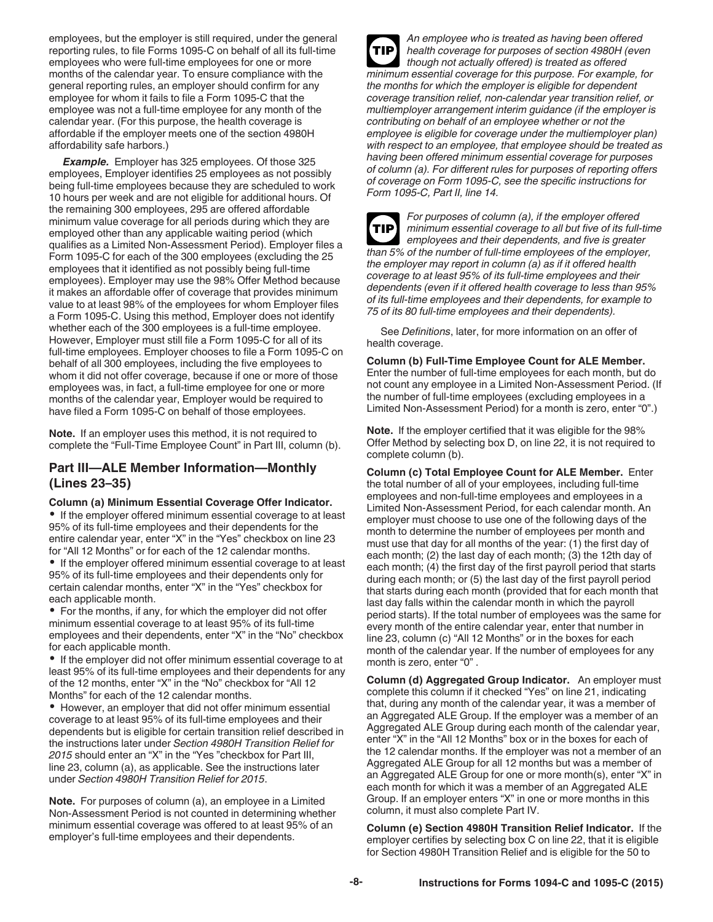employees, but the employer is still required, under the general reporting rules, to file Forms 1095-C on behalf of all its full-time employees who were full-time employees for one or more months of the calendar year. To ensure compliance with the general reporting rules, an employer should confirm for any employee for whom it fails to file a Form 1095-C that the employee was not a full-time employee for any month of the calendar year. (For this purpose, the health coverage is affordable if the employer meets one of the section 4980H affordability safe harbors.)

*Example.* Employer has 325 employees. Of those 325 employees, Employer identifies 25 employees as not possibly being full-time employees because they are scheduled to work 10 hours per week and are not eligible for additional hours. Of the remaining 300 employees, 295 are offered affordable minimum value coverage for all periods during which they are employed other than any applicable waiting period (which qualifies as a Limited Non-Assessment Period). Employer files a Form 1095-C for each of the 300 employees (excluding the 25 employees that it identified as not possibly being full-time employees). Employer may use the 98% Offer Method because it makes an affordable offer of coverage that provides minimum value to at least 98% of the employees for whom Employer files a Form 1095-C. Using this method, Employer does not identify whether each of the 300 employees is a full-time employee. However, Employer must still file a Form 1095-C for all of its full-time employees. Employer chooses to file a Form 1095-C on behalf of all 300 employees, including the five employees to whom it did not offer coverage, because if one or more of those employees was, in fact, a full-time employee for one or more months of the calendar year, Employer would be required to have filed a Form 1095-C on behalf of those employees.

**Note.** If an employer uses this method, it is not required to complete the "Full-Time Employee Count" in Part III, column (b).

## **Part III—ALE Member Information—Monthly (Lines 23–35)**

#### **Column (a) Minimum Essential Coverage Offer Indicator.**

• If the employer offered minimum essential coverage to at least 95% of its full-time employees and their dependents for the entire calendar year, enter "X" in the "Yes" checkbox on line 23 for "All 12 Months" or for each of the 12 calendar months.

**•** If the employer offered minimum essential coverage to at least 95% of its full-time employees and their dependents only for certain calendar months, enter "X" in the "Yes" checkbox for each applicable month.

• For the months, if any, for which the employer did not offer minimum essential coverage to at least 95% of its full-time employees and their dependents, enter "X" in the "No" checkbox for each applicable month.

• If the employer did not offer minimum essential coverage to at least 95% of its full-time employees and their dependents for any of the 12 months, enter "X" in the "No" checkbox for "All 12 Months" for each of the 12 calendar months.

However, an employer that did not offer minimum essential coverage to at least 95% of its full-time employees and their dependents but is eligible for certain transition relief described in the instructions later under *Section 4980H Transition Relief for 2015* should enter an "X" in the "Yes "checkbox for Part III, line 23, column (a), as applicable. See the instructions later under *Section 4980H Transition Relief for 2015*.

**Note.** For purposes of column (a), an employee in a Limited Non-Assessment Period is not counted in determining whether minimum essential coverage was offered to at least 95% of an employer's full-time employees and their dependents.

*An employee who is treated as having been offered health coverage for purposes of section 4980H (even though not actually offered) is treated as offered minimum essential coverage for this purpose. For example, for the months for which the employer is eligible for dependent coverage transition relief, non-calendar year transition relief, or multiemployer arrangement interim guidance (if the employer is contributing on behalf of an employee whether or not the employee is eligible for coverage under the multiemployer plan) with respect to an employee, that employee should be treated as having been offered minimum essential coverage for purposes of column (a). For different rules for purposes of reporting offers of coverage on Form 1095-C, see the specific instructions for Form 1095-C, Part II, line 14.* **TIP**

*For purposes of column (a), if the employer offered minimum essential coverage to all but five of its full-time employees and their dependents, and five is greater than 5% of the number of full-time employees of the employer, the employer may report in column (a) as if it offered health coverage to at least 95% of its full-time employees and their dependents (even if it offered health coverage to less than 95% of its full-time employees and their dependents, for example to 75 of its 80 full-time employees and their dependents).* **TIP**

See *Definitions*, later, for more information on an offer of health coverage.

**Column (b) Full-Time Employee Count for ALE Member.**  Enter the number of full-time employees for each month, but do not count any employee in a Limited Non-Assessment Period. (If the number of full-time employees (excluding employees in a Limited Non-Assessment Period) for a month is zero, enter "0".)

**Note.** If the employer certified that it was eligible for the 98% Offer Method by selecting box D, on line 22, it is not required to complete column (b).

**Column (c) Total Employee Count for ALE Member.** Enter the total number of all of your employees, including full-time employees and non-full-time employees and employees in a Limited Non-Assessment Period, for each calendar month. An employer must choose to use one of the following days of the month to determine the number of employees per month and must use that day for all months of the year: (1) the first day of each month; (2) the last day of each month; (3) the 12th day of each month; (4) the first day of the first payroll period that starts during each month; or (5) the last day of the first payroll period that starts during each month (provided that for each month that last day falls within the calendar month in which the payroll period starts). If the total number of employees was the same for every month of the entire calendar year, enter that number in line 23, column (c) "All 12 Months" or in the boxes for each month of the calendar year. If the number of employees for any month is zero, enter "0" .

**Column (d) Aggregated Group Indicator.** An employer must complete this column if it checked "Yes" on line 21, indicating that, during any month of the calendar year, it was a member of an Aggregated ALE Group. If the employer was a member of an Aggregated ALE Group during each month of the calendar year, enter "X" in the "All 12 Months" box or in the boxes for each of the 12 calendar months. If the employer was not a member of an Aggregated ALE Group for all 12 months but was a member of an Aggregated ALE Group for one or more month(s), enter "X" in each month for which it was a member of an Aggregated ALE Group. If an employer enters "X" in one or more months in this column, it must also complete Part IV.

**Column (e) Section 4980H Transition Relief Indicator.** If the employer certifies by selecting box C on line 22, that it is eligible for Section 4980H Transition Relief and is eligible for the 50 to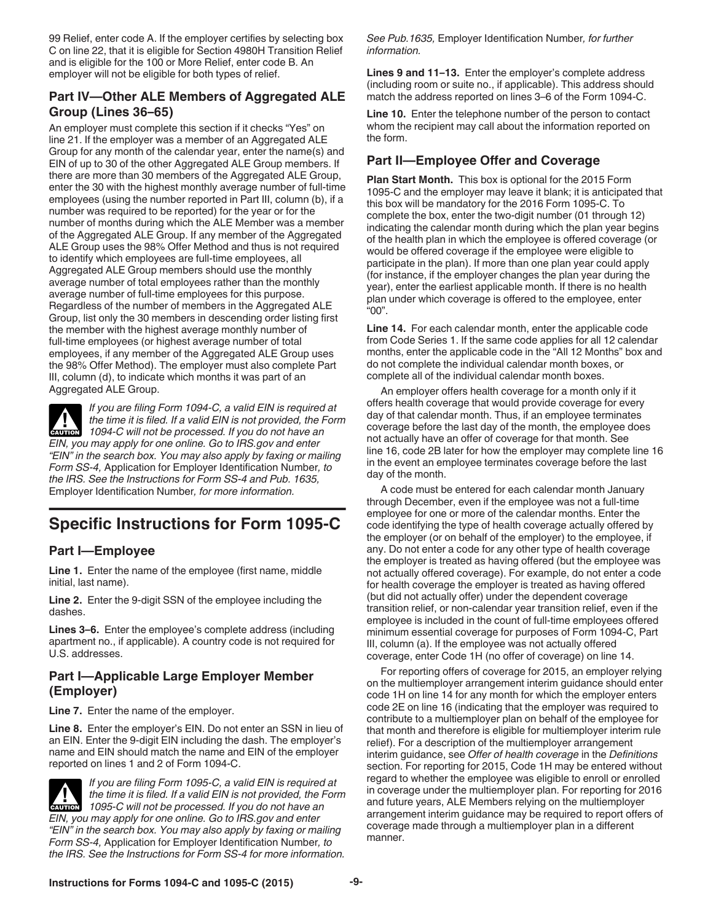99 Relief, enter code A. If the employer certifies by selecting box C on line 22, that it is eligible for Section 4980H Transition Relief and is eligible for the 100 or More Relief, enter code B. An employer will not be eligible for both types of relief.

## **Part IV—Other ALE Members of Aggregated ALE Group (Lines 36–65)**

An employer must complete this section if it checks "Yes" on line 21. If the employer was a member of an Aggregated ALE Group for any month of the calendar year, enter the name(s) and EIN of up to 30 of the other Aggregated ALE Group members. If there are more than 30 members of the Aggregated ALE Group, enter the 30 with the highest monthly average number of full-time employees (using the number reported in Part III, column (b), if a number was required to be reported) for the year or for the number of months during which the ALE Member was a member of the Aggregated ALE Group. If any member of the Aggregated ALE Group uses the 98% Offer Method and thus is not required to identify which employees are full-time employees, all Aggregated ALE Group members should use the monthly average number of total employees rather than the monthly average number of full-time employees for this purpose. Regardless of the number of members in the Aggregated ALE Group, list only the 30 members in descending order listing first the member with the highest average monthly number of full-time employees (or highest average number of total employees, if any member of the Aggregated ALE Group uses the 98% Offer Method). The employer must also complete Part III, column (d), to indicate which months it was part of an Aggregated ALE Group.

*If you are filing Form 1094-C, a valid EIN is required at the time it is filed. If a valid EIN is not provided, the Form 1094-C will not be processed. If you do not have an* $\frac{1}{2}$ *EIN, you may apply for one online. Go to IRS.gov and enter "EIN" in the search box. You may also apply by faxing or mailing Form SS-4,* Application for Employer Identification Number*, to the IRS. See the Instructions for Form SS-4 and Pub. 1635,*  Employer Identification Number*, for more information.*

# **Specific Instructions for Form 1095-C**

## **Part I—Employee**

**Line 1.** Enter the name of the employee (first name, middle initial, last name).

**Line 2.** Enter the 9-digit SSN of the employee including the dashes.

**Lines 3–6.** Enter the employee's complete address (including apartment no., if applicable). A country code is not required for U.S. addresses.

## **Part I—Applicable Large Employer Member (Employer)**

**Line 7.** Enter the name of the employer.

**Line 8.** Enter the employer's EIN. Do not enter an SSN in lieu of an EIN. Enter the 9-digit EIN including the dash. The employer's name and EIN should match the name and EIN of the employer reported on lines 1 and 2 of Form 1094-C.



*If you are filing Form 1095-C, a valid EIN is required at the time it is filed. If a valid EIN is not provided, the Form 1095-C will not be processed. If you do not have an* **<b>***caution EIN, you may apply for one online. Go to IRS.gov and enter "EIN" in the search box. You may also apply by faxing or mailing Form SS-4,* Application for Employer Identification Number*, to the IRS. See the Instructions for Form SS-4 for more information.* 

*See Pub.1635,* Employer Identification Number*, for further information.*

**Lines 9 and 11–13.** Enter the employer's complete address (including room or suite no., if applicable). This address should match the address reported on lines 3–6 of the Form 1094-C.

**Line 10.** Enter the telephone number of the person to contact whom the recipient may call about the information reported on the form.

## **Part II—Employee Offer and Coverage**

**Plan Start Month.** This box is optional for the 2015 Form 1095-C and the employer may leave it blank; it is anticipated that this box will be mandatory for the 2016 Form 1095-C. To complete the box, enter the two-digit number (01 through 12) indicating the calendar month during which the plan year begins of the health plan in which the employee is offered coverage (or would be offered coverage if the employee were eligible to participate in the plan). If more than one plan year could apply (for instance, if the employer changes the plan year during the year), enter the earliest applicable month. If there is no health plan under which coverage is offered to the employee, enter "00".

**Line 14.** For each calendar month, enter the applicable code from Code Series 1. If the same code applies for all 12 calendar months, enter the applicable code in the "All 12 Months" box and do not complete the individual calendar month boxes, or complete all of the individual calendar month boxes.

An employer offers health coverage for a month only if it offers health coverage that would provide coverage for every day of that calendar month. Thus, if an employee terminates coverage before the last day of the month, the employee does not actually have an offer of coverage for that month. See line 16, code 2B later for how the employer may complete line 16 in the event an employee terminates coverage before the last day of the month.

A code must be entered for each calendar month January through December, even if the employee was not a full-time employee for one or more of the calendar months. Enter the code identifying the type of health coverage actually offered by the employer (or on behalf of the employer) to the employee, if any. Do not enter a code for any other type of health coverage the employer is treated as having offered (but the employee was not actually offered coverage). For example, do not enter a code for health coverage the employer is treated as having offered (but did not actually offer) under the dependent coverage transition relief, or non-calendar year transition relief, even if the employee is included in the count of full-time employees offered minimum essential coverage for purposes of Form 1094-C, Part III, column (a). If the employee was not actually offered coverage, enter Code 1H (no offer of coverage) on line 14.

For reporting offers of coverage for 2015, an employer relying on the multiemployer arrangement interim guidance should enter code 1H on line 14 for any month for which the employer enters code 2E on line 16 (indicating that the employer was required to contribute to a multiemployer plan on behalf of the employee for that month and therefore is eligible for multiemployer interim rule relief). For a description of the multiemployer arrangement interim guidance, see *Offer of health coverage* in the *Definitions*  section. For reporting for 2015, Code 1H may be entered without regard to whether the employee was eligible to enroll or enrolled in coverage under the multiemployer plan. For reporting for 2016 and future years, ALE Members relying on the multiemployer arrangement interim guidance may be required to report offers of coverage made through a multiemployer plan in a different manner.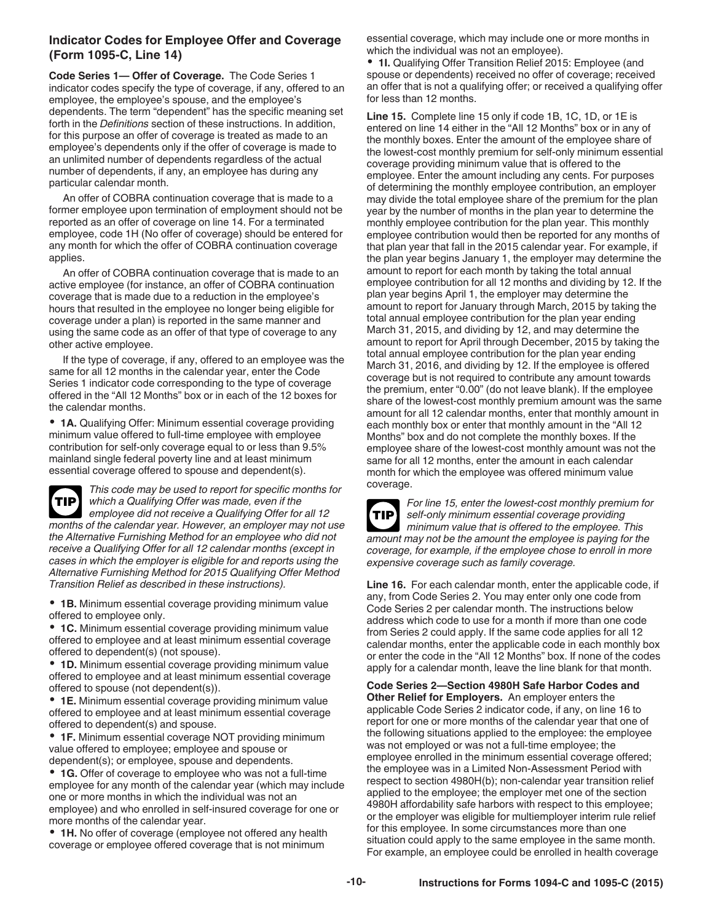#### **Indicator Codes for Employee Offer and Coverage (Form 1095-C, Line 14)**

**Code Series 1— Offer of Coverage.** The Code Series 1 indicator codes specify the type of coverage, if any, offered to an employee, the employee's spouse, and the employee's dependents. The term "dependent" has the specific meaning set forth in the *Definitions* section of these instructions. In addition, for this purpose an offer of coverage is treated as made to an employee's dependents only if the offer of coverage is made to an unlimited number of dependents regardless of the actual number of dependents, if any, an employee has during any particular calendar month.

An offer of COBRA continuation coverage that is made to a former employee upon termination of employment should not be reported as an offer of coverage on line 14. For a terminated employee, code 1H (No offer of coverage) should be entered for any month for which the offer of COBRA continuation coverage applies.

An offer of COBRA continuation coverage that is made to an active employee (for instance, an offer of COBRA continuation coverage that is made due to a reduction in the employee's hours that resulted in the employee no longer being eligible for coverage under a plan) is reported in the same manner and using the same code as an offer of that type of coverage to any other active employee.

If the type of coverage, if any, offered to an employee was the same for all 12 months in the calendar year, enter the Code Series 1 indicator code corresponding to the type of coverage offered in the "All 12 Months" box or in each of the 12 boxes for the calendar months.

**1A.** Qualifying Offer: Minimum essential coverage providing minimum value offered to full-time employee with employee contribution for self-only coverage equal to or less than 9.5% mainland single federal poverty line and at least minimum essential coverage offered to spouse and dependent(s).



*This code may be used to report for specific months for which a Qualifying Offer was made, even if the employee did not receive a Qualifying Offer for all 12 months of the calendar year. However, an employer may not use the Alternative Furnishing Method for an employee who did not receive a Qualifying Offer for all 12 calendar months (except in cases in which the employer is eligible for and reports using the* 

*Alternative Furnishing Method for 2015 Qualifying Offer Method Transition Relief as described in these instructions).*

**1B.** Minimum essential coverage providing minimum value offered to employee only.

**1C.** Minimum essential coverage providing minimum value offered to employee and at least minimum essential coverage offered to dependent(s) (not spouse).

**1D.** Minimum essential coverage providing minimum value offered to employee and at least minimum essential coverage offered to spouse (not dependent(s)).

**1E.** Minimum essential coverage providing minimum value offered to employee and at least minimum essential coverage offered to dependent(s) and spouse.

**1F.** Minimum essential coverage NOT providing minimum value offered to employee; employee and spouse or dependent(s); or employee, spouse and dependents.

**1G.** Offer of coverage to employee who was not a full-time employee for any month of the calendar year (which may include one or more months in which the individual was not an employee) and who enrolled in self-insured coverage for one or more months of the calendar year.

**1H.** No offer of coverage (employee not offered any health coverage or employee offered coverage that is not minimum

essential coverage, which may include one or more months in which the individual was not an employee).

**1I.** Qualifying Offer Transition Relief 2015: Employee (and spouse or dependents) received no offer of coverage; received an offer that is not a qualifying offer; or received a qualifying offer for less than 12 months.

**Line 15.** Complete line 15 only if code 1B, 1C, 1D, or 1E is entered on line 14 either in the "All 12 Months" box or in any of the monthly boxes. Enter the amount of the employee share of the lowest-cost monthly premium for self-only minimum essential coverage providing minimum value that is offered to the employee. Enter the amount including any cents. For purposes of determining the monthly employee contribution, an employer may divide the total employee share of the premium for the plan year by the number of months in the plan year to determine the monthly employee contribution for the plan year. This monthly employee contribution would then be reported for any months of that plan year that fall in the 2015 calendar year. For example, if the plan year begins January 1, the employer may determine the amount to report for each month by taking the total annual employee contribution for all 12 months and dividing by 12. If the plan year begins April 1, the employer may determine the amount to report for January through March, 2015 by taking the total annual employee contribution for the plan year ending March 31, 2015, and dividing by 12, and may determine the amount to report for April through December, 2015 by taking the total annual employee contribution for the plan year ending March 31, 2016, and dividing by 12. If the employee is offered coverage but is not required to contribute any amount towards the premium, enter "0.00" (do not leave blank). If the employee share of the lowest-cost monthly premium amount was the same amount for all 12 calendar months, enter that monthly amount in each monthly box or enter that monthly amount in the "All 12 Months" box and do not complete the monthly boxes. If the employee share of the lowest-cost monthly amount was not the same for all 12 months, enter the amount in each calendar month for which the employee was offered minimum value coverage.



*For line 15, enter the lowest-cost monthly premium for self-only minimum essential coverage providing minimum value that is offered to the employee. This amount may not be the amount the employee is paying for the coverage, for example, if the employee chose to enroll in more expensive coverage such as family coverage.*

**Line 16.** For each calendar month, enter the applicable code, if any, from Code Series 2. You may enter only one code from Code Series 2 per calendar month. The instructions below address which code to use for a month if more than one code from Series 2 could apply. If the same code applies for all 12 calendar months, enter the applicable code in each monthly box or enter the code in the "All 12 Months" box. If none of the codes apply for a calendar month, leave the line blank for that month.

**Code Series 2—Section 4980H Safe Harbor Codes and Other Relief for Employers.** An employer enters the applicable Code Series 2 indicator code, if any, on line 16 to report for one or more months of the calendar year that one of the following situations applied to the employee: the employee was not employed or was not a full-time employee; the employee enrolled in the minimum essential coverage offered; the employee was in a Limited Non-Assessment Period with respect to section 4980H(b); non-calendar year transition relief applied to the employee; the employer met one of the section 4980H affordability safe harbors with respect to this employee; or the employer was eligible for multiemployer interim rule relief for this employee. In some circumstances more than one situation could apply to the same employee in the same month. For example, an employee could be enrolled in health coverage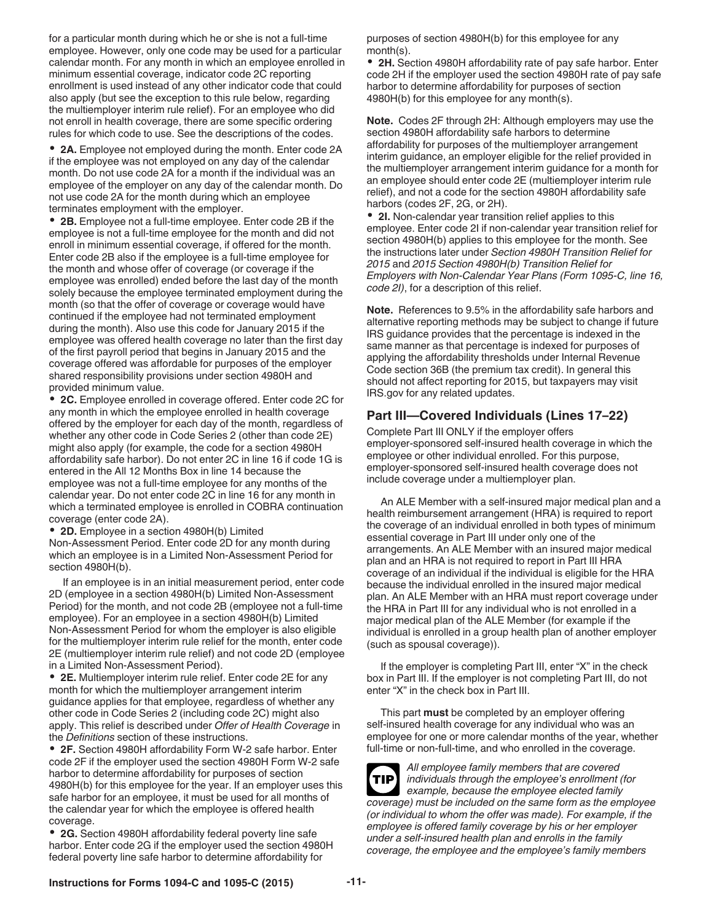for a particular month during which he or she is not a full-time employee. However, only one code may be used for a particular calendar month. For any month in which an employee enrolled in minimum essential coverage, indicator code 2C reporting enrollment is used instead of any other indicator code that could also apply (but see the exception to this rule below, regarding the multiemployer interim rule relief). For an employee who did not enroll in health coverage, there are some specific ordering rules for which code to use. See the descriptions of the codes.

**2A.** Employee not employed during the month. Enter code 2A if the employee was not employed on any day of the calendar month. Do not use code 2A for a month if the individual was an employee of the employer on any day of the calendar month. Do not use code 2A for the month during which an employee terminates employment with the employer.

**2B.** Employee not a full-time employee. Enter code 2B if the employee is not a full-time employee for the month and did not enroll in minimum essential coverage, if offered for the month. Enter code 2B also if the employee is a full-time employee for the month and whose offer of coverage (or coverage if the employee was enrolled) ended before the last day of the month solely because the employee terminated employment during the month (so that the offer of coverage or coverage would have continued if the employee had not terminated employment during the month). Also use this code for January 2015 if the employee was offered health coverage no later than the first day of the first payroll period that begins in January 2015 and the coverage offered was affordable for purposes of the employer shared responsibility provisions under section 4980H and provided minimum value.

**2C.** Employee enrolled in coverage offered. Enter code 2C for any month in which the employee enrolled in health coverage offered by the employer for each day of the month, regardless of whether any other code in Code Series 2 (other than code 2E) might also apply (for example, the code for a section 4980H affordability safe harbor). Do not enter 2C in line 16 if code 1G is entered in the All 12 Months Box in line 14 because the employee was not a full-time employee for any months of the calendar year. Do not enter code 2C in line 16 for any month in which a terminated employee is enrolled in COBRA continuation coverage (enter code 2A).

**2D.** Employee in a section 4980H(b) Limited Non-Assessment Period. Enter code 2D for any month during which an employee is in a Limited Non-Assessment Period for section 4980H(b).

If an employee is in an initial measurement period, enter code 2D (employee in a section 4980H(b) Limited Non-Assessment Period) for the month, and not code 2B (employee not a full-time employee). For an employee in a section 4980H(b) Limited Non-Assessment Period for whom the employer is also eligible for the multiemployer interim rule relief for the month, enter code 2E (multiemployer interim rule relief) and not code 2D (employee in a Limited Non-Assessment Period).

**2E.** Multiemployer interim rule relief. Enter code 2E for any month for which the multiemployer arrangement interim guidance applies for that employee, regardless of whether any other code in Code Series 2 (including code 2C) might also apply. This relief is described under *Offer of Health Coverage* in the *Definitions* section of these instructions.

**2F.** Section 4980H affordability Form W-2 safe harbor. Enter code 2F if the employer used the section 4980H Form W-2 safe harbor to determine affordability for purposes of section 4980H(b) for this employee for the year. If an employer uses this safe harbor for an employee, it must be used for all months of the calendar year for which the employee is offered health coverage.

**2G.** Section 4980H affordability federal poverty line safe harbor. Enter code 2G if the employer used the section 4980H federal poverty line safe harbor to determine affordability for

purposes of section 4980H(b) for this employee for any month(s).

**2H.** Section 4980H affordability rate of pay safe harbor. Enter code 2H if the employer used the section 4980H rate of pay safe harbor to determine affordability for purposes of section 4980H(b) for this employee for any month(s).

**Note.** Codes 2F through 2H: Although employers may use the section 4980H affordability safe harbors to determine affordability for purposes of the multiemployer arrangement interim guidance, an employer eligible for the relief provided in the multiemployer arrangement interim guidance for a month for an employee should enter code 2E (multiemployer interim rule relief), and not a code for the section 4980H affordability safe harbors (codes 2F, 2G, or 2H).

**2I.** Non-calendar year transition relief applies to this employee. Enter code 2I if non-calendar year transition relief for section 4980H(b) applies to this employee for the month. See the instructions later under *Section 4980H Transition Relief for 2015* and *2015 Section 4980H(b) Transition Relief for Employers with Non-Calendar Year Plans (Form 1095-C, line 16, code 2I)*, for a description of this relief.

**Note.** References to 9.5% in the affordability safe harbors and alternative reporting methods may be subject to change if future IRS guidance provides that the percentage is indexed in the same manner as that percentage is indexed for purposes of applying the affordability thresholds under Internal Revenue Code section 36B (the premium tax credit). In general this should not affect reporting for 2015, but taxpayers may visit IRS.gov for any related updates.

## **Part III—Covered Individuals (Lines 17–22)**

Complete Part III ONLY if the employer offers employer-sponsored self-insured health coverage in which the employee or other individual enrolled. For this purpose, employer-sponsored self-insured health coverage does not include coverage under a multiemployer plan.

An ALE Member with a self-insured major medical plan and a health reimbursement arrangement (HRA) is required to report the coverage of an individual enrolled in both types of minimum essential coverage in Part III under only one of the arrangements. An ALE Member with an insured major medical plan and an HRA is not required to report in Part III HRA coverage of an individual if the individual is eligible for the HRA because the individual enrolled in the insured major medical plan. An ALE Member with an HRA must report coverage under the HRA in Part III for any individual who is not enrolled in a major medical plan of the ALE Member (for example if the individual is enrolled in a group health plan of another employer (such as spousal coverage)).

If the employer is completing Part III, enter "X" in the check box in Part III. If the employer is not completing Part III, do not enter "X" in the check box in Part III.

This part **must** be completed by an employer offering self-insured health coverage for any individual who was an employee for one or more calendar months of the year, whether full-time or non-full-time, and who enrolled in the coverage.

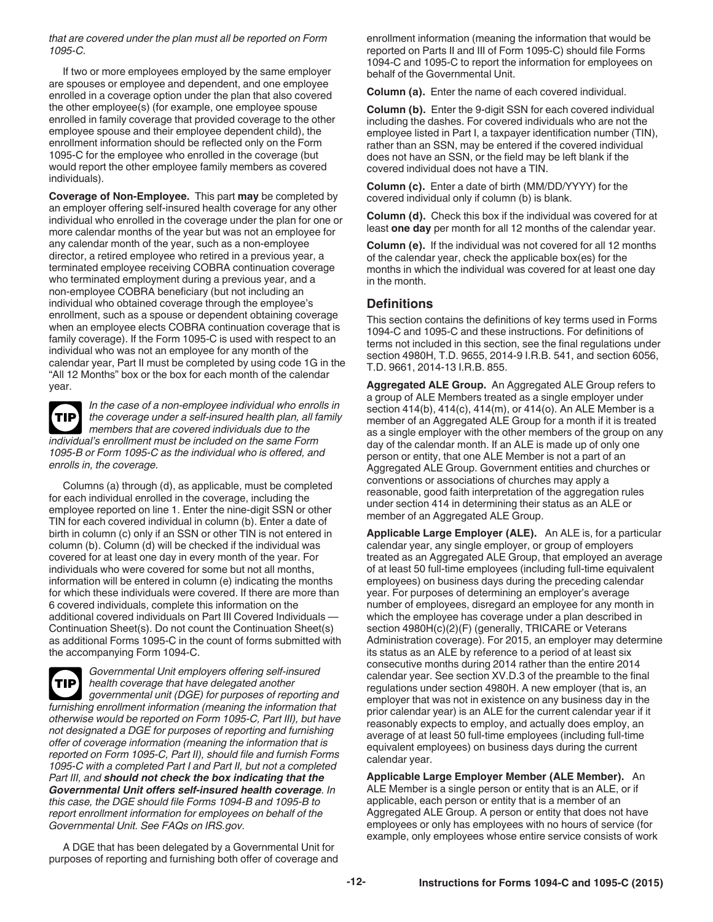*that are covered under the plan must all be reported on Form 1095-C.*

If two or more employees employed by the same employer are spouses or employee and dependent, and one employee enrolled in a coverage option under the plan that also covered the other employee(s) (for example, one employee spouse enrolled in family coverage that provided coverage to the other employee spouse and their employee dependent child), the enrollment information should be reflected only on the Form 1095-C for the employee who enrolled in the coverage (but would report the other employee family members as covered individuals).

**Coverage of Non-Employee.** This part **may** be completed by an employer offering self-insured health coverage for any other individual who enrolled in the coverage under the plan for one or more calendar months of the year but was not an employee for any calendar month of the year, such as a non-employee director, a retired employee who retired in a previous year, a terminated employee receiving COBRA continuation coverage who terminated employment during a previous year, and a non-employee COBRA beneficiary (but not including an individual who obtained coverage through the employee's enrollment, such as a spouse or dependent obtaining coverage when an employee elects COBRA continuation coverage that is family coverage). If the Form 1095-C is used with respect to an individual who was not an employee for any month of the calendar year, Part II must be completed by using code 1G in the "All 12 Months" box or the box for each month of the calendar year.

**TIP**

*In the case of a non-employee individual who enrolls in the coverage under a self-insured health plan, all family members that are covered individuals due to the individual's enrollment must be included on the same Form 1095-B or Form 1095-C as the individual who is offered, and enrolls in, the coverage.*

Columns (a) through (d), as applicable, must be completed for each individual enrolled in the coverage, including the employee reported on line 1. Enter the nine-digit SSN or other TIN for each covered individual in column (b). Enter a date of birth in column (c) only if an SSN or other TIN is not entered in column (b). Column (d) will be checked if the individual was covered for at least one day in every month of the year. For individuals who were covered for some but not all months, information will be entered in column (e) indicating the months for which these individuals were covered. If there are more than 6 covered individuals, complete this information on the additional covered individuals on Part III Covered Individuals — Continuation Sheet(s). Do not count the Continuation Sheet(s) as additional Forms 1095-C in the count of forms submitted with the accompanying Form 1094-C.

*Governmental Unit employers offering self-insured health coverage that have delegated another governmental unit (DGE) for purposes of reporting and furnishing enrollment information (meaning the information that otherwise would be reported on Form 1095-C, Part III), but have not designated a DGE for purposes of reporting and furnishing offer of coverage information (meaning the information that is reported on Form 1095-C, Part II), should file and furnish Forms 1095-C with a completed Part I and Part II, but not a completed Part III, and should not check the box indicating that the Governmental Unit offers self-insured health coverage. In this case, the DGE should file Forms 1094-B and 1095-B to report enrollment information for employees on behalf of the Governmental Unit. See FAQs on IRS.gov.* **TIP**

A DGE that has been delegated by a Governmental Unit for purposes of reporting and furnishing both offer of coverage and enrollment information (meaning the information that would be reported on Parts II and III of Form 1095-C) should file Forms 1094-C and 1095-C to report the information for employees on behalf of the Governmental Unit.

**Column (a).** Enter the name of each covered individual.

**Column (b).** Enter the 9-digit SSN for each covered individual including the dashes. For covered individuals who are not the employee listed in Part I, a taxpayer identification number (TIN), rather than an SSN, may be entered if the covered individual does not have an SSN, or the field may be left blank if the covered individual does not have a TIN.

**Column (c).** Enter a date of birth (MM/DD/YYYY) for the covered individual only if column (b) is blank.

**Column (d).** Check this box if the individual was covered for at least **one day** per month for all 12 months of the calendar year.

**Column (e).** If the individual was not covered for all 12 months of the calendar year, check the applicable box(es) for the months in which the individual was covered for at least one day in the month.

#### **Definitions**

This section contains the definitions of key terms used in Forms 1094-C and 1095-C and these instructions. For definitions of terms not included in this section, see the final regulations under section 4980H, T.D. 9655, 2014-9 I.R.B. 541, and section 6056, T.D. 9661, 2014-13 I.R.B. 855.

**Aggregated ALE Group.** An Aggregated ALE Group refers to a group of ALE Members treated as a single employer under section 414(b), 414(c), 414(m), or 414(o). An ALE Member is a member of an Aggregated ALE Group for a month if it is treated as a single employer with the other members of the group on any day of the calendar month. If an ALE is made up of only one person or entity, that one ALE Member is not a part of an Aggregated ALE Group. Government entities and churches or conventions or associations of churches may apply a reasonable, good faith interpretation of the aggregation rules under section 414 in determining their status as an ALE or member of an Aggregated ALE Group.

**Applicable Large Employer (ALE).** An ALE is, for a particular calendar year, any single employer, or group of employers treated as an Aggregated ALE Group, that employed an average of at least 50 full-time employees (including full-time equivalent employees) on business days during the preceding calendar year. For purposes of determining an employer's average number of employees, disregard an employee for any month in which the employee has coverage under a plan described in section 4980H(c)(2)(F) (generally, TRICARE or Veterans Administration coverage). For 2015, an employer may determine its status as an ALE by reference to a period of at least six consecutive months during 2014 rather than the entire 2014 calendar year. See section XV.D.3 of the preamble to the final regulations under section 4980H. A new employer (that is, an employer that was not in existence on any business day in the prior calendar year) is an ALE for the current calendar year if it reasonably expects to employ, and actually does employ, an average of at least 50 full-time employees (including full-time equivalent employees) on business days during the current calendar year.

**Applicable Large Employer Member (ALE Member).** An ALE Member is a single person or entity that is an ALE, or if applicable, each person or entity that is a member of an Aggregated ALE Group. A person or entity that does not have employees or only has employees with no hours of service (for example, only employees whose entire service consists of work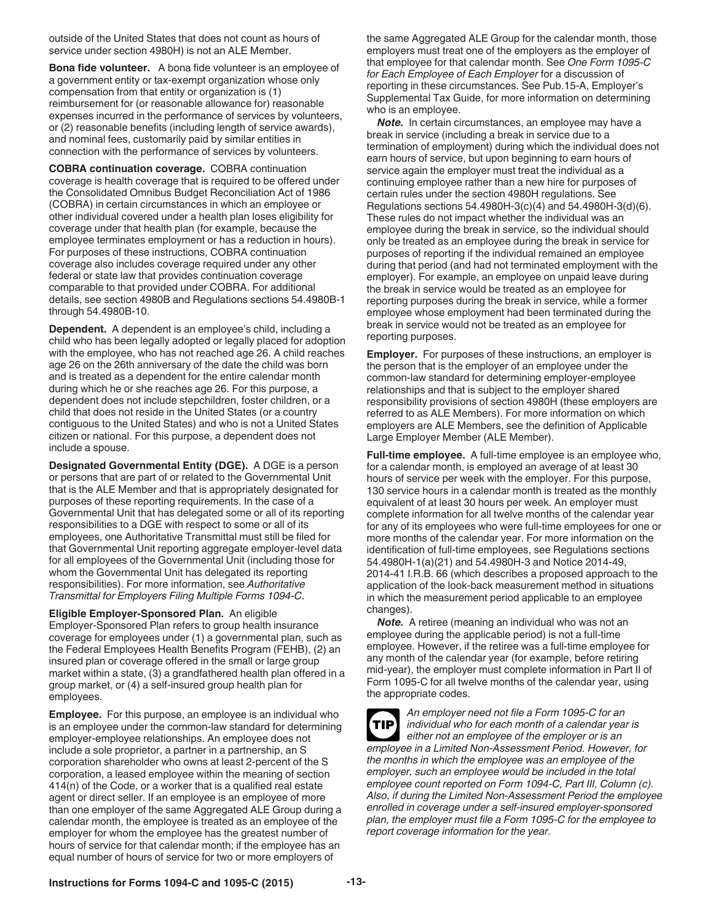outside of the United States that does not count as hours of service under section 4980H) is not an ALE Member.

**Bona fide volunteer.** A bona fide volunteer is an employee of a government entity or tax-exempt organization whose only compensation from that entity or organization is (1) reimbursement for (or reasonable allowance for) reasonable expenses incurred in the performance of services by volunteers, or (2) reasonable benefits (including length of service awards), and nominal fees, customarily paid by similar entities in connection with the performance of services by volunteers.

**COBRA continuation coverage.** COBRA continuation coverage is health coverage that is required to be offered under the Consolidated Omnibus Budget Reconciliation Act of 1986 (COBRA) in certain circumstances in which an employee or other individual covered under a health plan loses eligibility for coverage under that health plan (for example, because the employee terminates employment or has a reduction in hours). For purposes of these instructions, COBRA continuation coverage also includes coverage required under any other federal or state law that provides continuation coverage comparable to that provided under COBRA. For additional details, see section 4980B and Regulations sections 54.4980B-1 through 54.4980B-10.

**Dependent.** A dependent is an employee's child, including a child who has been legally adopted or legally placed for adoption with the employee, who has not reached age 26. A child reaches age 26 on the 26th anniversary of the date the child was born and is treated as a dependent for the entire calendar month during which he or she reaches age 26. For this purpose, a dependent does not include stepchildren, foster children, or a child that does not reside in the United States (or a country contiguous to the United States) and who is not a United States citizen or national. For this purpose, a dependent does not include a spouse.

**Designated Governmental Entity (DGE).** A DGE is a person or persons that are part of or related to the Governmental Unit that is the ALE Member and that is appropriately designated for purposes of these reporting requirements. In the case of a Governmental Unit that has delegated some or all of its reporting responsibilities to a DGE with respect to some or all of its employees, one Authoritative Transmittal must still be filed for that Governmental Unit reporting aggregate employer-level data for all employees of the Governmental Unit (including those for whom the Governmental Unit has delegated its reporting responsibilities). For more information, see *Authoritative Transmittal for Employers Filing Multiple Forms 1094-C*.

#### **Eligible Employer-Sponsored Plan.** An eligible

Employer-Sponsored Plan refers to group health insurance coverage for employees under (1) a governmental plan, such as the Federal Employees Health Benefits Program (FEHB), (2) an insured plan or coverage offered in the small or large group market within a state, (3) a grandfathered health plan offered in a group market, or (4) a self-insured group health plan for employees.

**Employee.** For this purpose, an employee is an individual who is an employee under the common-law standard for determining employer-employee relationships. An employee does not include a sole proprietor, a partner in a partnership, an S corporation shareholder who owns at least 2-percent of the S corporation, a leased employee within the meaning of section 414(n) of the Code, or a worker that is a qualified real estate agent or direct seller. If an employee is an employee of more than one employer of the same Aggregated ALE Group during a calendar month, the employee is treated as an employee of the employer for whom the employee has the greatest number of hours of service for that calendar month; if the employee has an equal number of hours of service for two or more employers of

the same Aggregated ALE Group for the calendar month, those employers must treat one of the employers as the employer of that employee for that calendar month. See *One Form 1095-C for Each Employee of Each Employer* for a discussion of reporting in these circumstances. See Pub.15-A, Employer's Supplemental Tax Guide, for more information on determining who is an employee.

*Note.* In certain circumstances, an employee may have a break in service (including a break in service due to a termination of employment) during which the individual does not earn hours of service, but upon beginning to earn hours of service again the employer must treat the individual as a continuing employee rather than a new hire for purposes of certain rules under the section 4980H regulations. See Regulations sections 54.4980H-3(c)(4) and 54.4980H-3(d)(6). These rules do not impact whether the individual was an employee during the break in service, so the individual should only be treated as an employee during the break in service for purposes of reporting if the individual remained an employee during that period (and had not terminated employment with the employer). For example, an employee on unpaid leave during the break in service would be treated as an employee for reporting purposes during the break in service, while a former employee whose employment had been terminated during the break in service would not be treated as an employee for reporting purposes.

**Employer.** For purposes of these instructions, an employer is the person that is the employer of an employee under the common-law standard for determining employer-employee relationships and that is subject to the employer shared responsibility provisions of section 4980H (these employers are referred to as ALE Members). For more information on which employers are ALE Members, see the definition of Applicable Large Employer Member (ALE Member).

**Full-time employee.** A full-time employee is an employee who, for a calendar month, is employed an average of at least 30 hours of service per week with the employer. For this purpose, 130 service hours in a calendar month is treated as the monthly equivalent of at least 30 hours per week. An employer must complete information for all twelve months of the calendar year for any of its employees who were full-time employees for one or more months of the calendar year. For more information on the identification of full-time employees, see Regulations sections 54.4980H-1(a)(21) and 54.4980H-3 and Notice 2014-49, 2014-41 I.R.B. 66 (which describes a proposed approach to the application of the look-back measurement method in situations in which the measurement period applicable to an employee changes).

*Note.* A retiree (meaning an individual who was not an employee during the applicable period) is not a full-time employee. However, if the retiree was a full-time employee for any month of the calendar year (for example, before retiring mid-year), the employer must complete information in Part II of Form 1095-C for all twelve months of the calendar year, using the appropriate codes.

*An employer need not file a Form 1095-C for an individual who for each month of a calendar year is either not an employee of the employer or is an employee in a Limited Non-Assessment Period. However, for the months in which the employee was an employee of the employer, such an employee would be included in the total employee count reported on Form 1094-C, Part III, Column (c). Also, if during the Limited Non-Assessment Period the employee enrolled in coverage under a self-insured employer-sponsored plan, the employer must file a Form 1095-C for the employee to report coverage information for the year.* **TIP**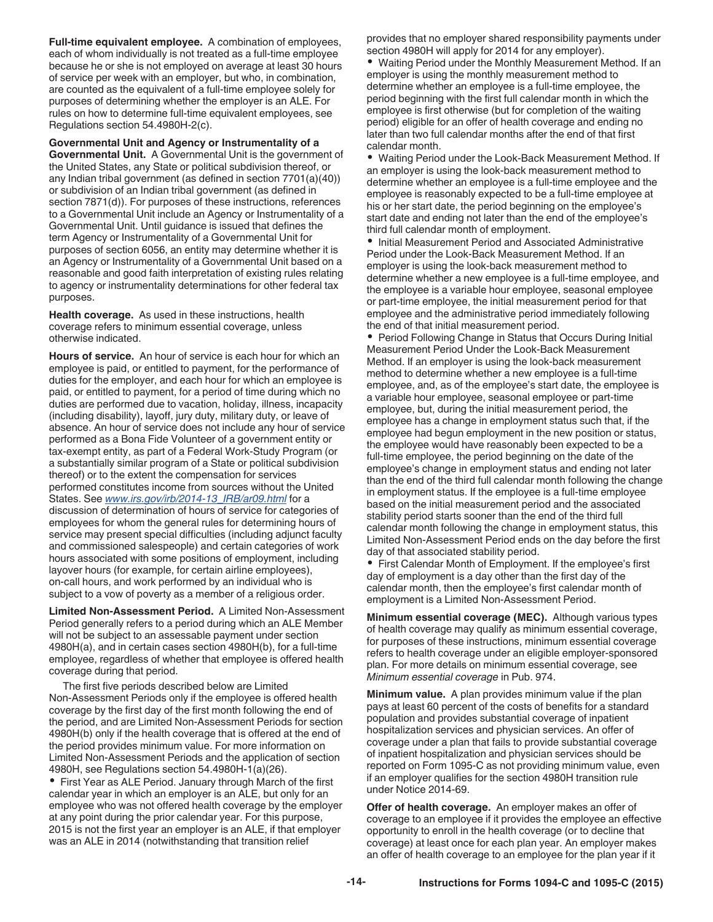**Full-time equivalent employee.** A combination of employees, each of whom individually is not treated as a full-time employee because he or she is not employed on average at least 30 hours of service per week with an employer, but who, in combination, are counted as the equivalent of a full-time employee solely for purposes of determining whether the employer is an ALE. For rules on how to determine full-time equivalent employees, see Regulations section 54.4980H-2(c).

**Governmental Unit and Agency or Instrumentality of a Governmental Unit.** A Governmental Unit is the government of the United States, any State or political subdivision thereof, or any Indian tribal government (as defined in section 7701(a)(40)) or subdivision of an Indian tribal government (as defined in section 7871(d)). For purposes of these instructions, references to a Governmental Unit include an Agency or Instrumentality of a Governmental Unit. Until guidance is issued that defines the term Agency or Instrumentality of a Governmental Unit for purposes of section 6056, an entity may determine whether it is an Agency or Instrumentality of a Governmental Unit based on a reasonable and good faith interpretation of existing rules relating to agency or instrumentality determinations for other federal tax purposes.

**Health coverage.** As used in these instructions, health coverage refers to minimum essential coverage, unless otherwise indicated.

**Hours of service.** An hour of service is each hour for which an employee is paid, or entitled to payment, for the performance of duties for the employer, and each hour for which an employee is paid, or entitled to payment, for a period of time during which no duties are performed due to vacation, holiday, illness, incapacity (including disability), layoff, jury duty, military duty, or leave of absence. An hour of service does not include any hour of service performed as a Bona Fide Volunteer of a government entity or tax-exempt entity, as part of a Federal Work-Study Program (or a substantially similar program of a State or political subdivision thereof) or to the extent the compensation for services performed constitutes income from sources without the United States. See *[www.irs.gov/irb/2014-13\\_IRB/ar09.html](http://www.irs.gov/irb/2014-13_IRB/ar09.html)* for a discussion of determination of hours of service for categories of employees for whom the general rules for determining hours of service may present special difficulties (including adjunct faculty and commissioned salespeople) and certain categories of work hours associated with some positions of employment, including layover hours (for example, for certain airline employees), on-call hours, and work performed by an individual who is subject to a vow of poverty as a member of a religious order.

**Limited Non-Assessment Period.** A Limited Non-Assessment Period generally refers to a period during which an ALE Member will not be subject to an assessable payment under section 4980H(a), and in certain cases section 4980H(b), for a full-time employee, regardless of whether that employee is offered health coverage during that period.

The first five periods described below are Limited Non-Assessment Periods only if the employee is offered health coverage by the first day of the first month following the end of the period, and are Limited Non-Assessment Periods for section 4980H(b) only if the health coverage that is offered at the end of the period provides minimum value. For more information on Limited Non-Assessment Periods and the application of section 4980H, see Regulations section 54.4980H-1(a)(26).

First Year as ALE Period. January through March of the first calendar year in which an employer is an ALE, but only for an employee who was not offered health coverage by the employer at any point during the prior calendar year. For this purpose, 2015 is not the first year an employer is an ALE, if that employer was an ALE in 2014 (notwithstanding that transition relief

provides that no employer shared responsibility payments under section 4980H will apply for 2014 for any employer).

Waiting Period under the Monthly Measurement Method. If an employer is using the monthly measurement method to determine whether an employee is a full-time employee, the period beginning with the first full calendar month in which the employee is first otherwise (but for completion of the waiting period) eligible for an offer of health coverage and ending no later than two full calendar months after the end of that first calendar month.

Waiting Period under the Look-Back Measurement Method. If an employer is using the look-back measurement method to determine whether an employee is a full-time employee and the employee is reasonably expected to be a full-time employee at his or her start date, the period beginning on the employee's start date and ending not later than the end of the employee's third full calendar month of employment.

• Initial Measurement Period and Associated Administrative Period under the Look-Back Measurement Method. If an employer is using the look-back measurement method to determine whether a new employee is a full-time employee, and the employee is a variable hour employee, seasonal employee or part-time employee, the initial measurement period for that employee and the administrative period immediately following the end of that initial measurement period.

• Period Following Change in Status that Occurs During Initial Measurement Period Under the Look-Back Measurement Method. If an employer is using the look-back measurement method to determine whether a new employee is a full-time employee, and, as of the employee's start date, the employee is a variable hour employee, seasonal employee or part-time employee, but, during the initial measurement period, the employee has a change in employment status such that, if the employee had begun employment in the new position or status, the employee would have reasonably been expected to be a full-time employee, the period beginning on the date of the employee's change in employment status and ending not later than the end of the third full calendar month following the change in employment status. If the employee is a full-time employee based on the initial measurement period and the associated stability period starts sooner than the end of the third full calendar month following the change in employment status, this Limited Non-Assessment Period ends on the day before the first day of that associated stability period.

First Calendar Month of Employment. If the employee's first day of employment is a day other than the first day of the calendar month, then the employee's first calendar month of employment is a Limited Non-Assessment Period.

**Minimum essential coverage (MEC).** Although various types of health coverage may qualify as minimum essential coverage, for purposes of these instructions, minimum essential coverage refers to health coverage under an eligible employer-sponsored plan. For more details on minimum essential coverage, see *Minimum essential coverage* in Pub. 974.

**Minimum value.** A plan provides minimum value if the plan pays at least 60 percent of the costs of benefits for a standard population and provides substantial coverage of inpatient hospitalization services and physician services. An offer of coverage under a plan that fails to provide substantial coverage of inpatient hospitalization and physician services should be reported on Form 1095-C as not providing minimum value, even if an employer qualifies for the section 4980H transition rule under Notice 2014-69.

**Offer of health coverage.** An employer makes an offer of coverage to an employee if it provides the employee an effective opportunity to enroll in the health coverage (or to decline that coverage) at least once for each plan year. An employer makes an offer of health coverage to an employee for the plan year if it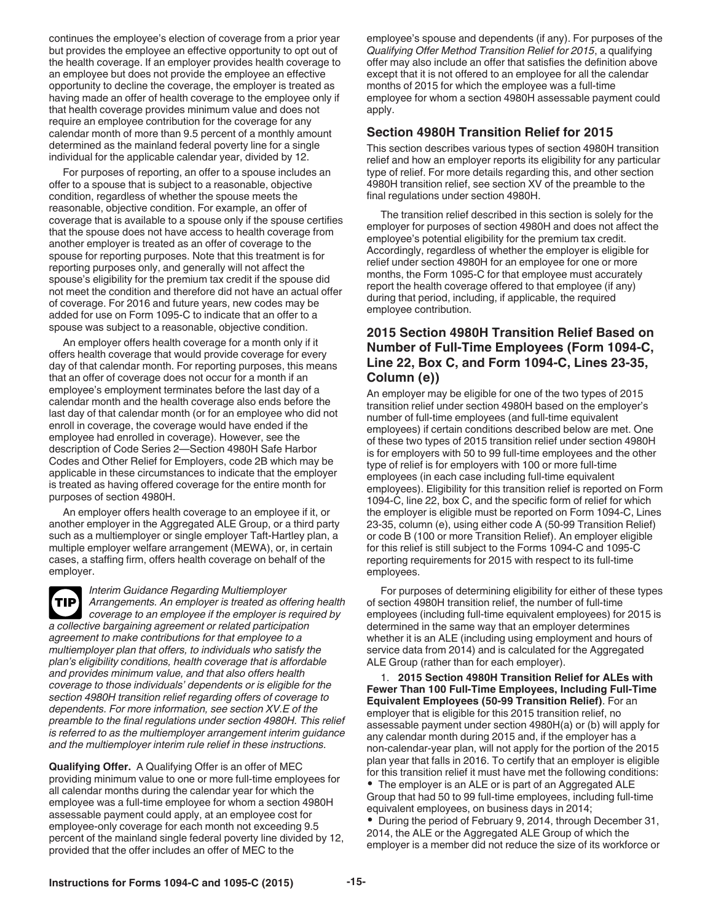continues the employee's election of coverage from a prior year but provides the employee an effective opportunity to opt out of the health coverage. If an employer provides health coverage to an employee but does not provide the employee an effective opportunity to decline the coverage, the employer is treated as having made an offer of health coverage to the employee only if that health coverage provides minimum value and does not require an employee contribution for the coverage for any calendar month of more than 9.5 percent of a monthly amount determined as the mainland federal poverty line for a single individual for the applicable calendar year, divided by 12.

For purposes of reporting, an offer to a spouse includes an offer to a spouse that is subject to a reasonable, objective condition, regardless of whether the spouse meets the reasonable, objective condition. For example, an offer of coverage that is available to a spouse only if the spouse certifies that the spouse does not have access to health coverage from another employer is treated as an offer of coverage to the spouse for reporting purposes. Note that this treatment is for reporting purposes only, and generally will not affect the spouse's eligibility for the premium tax credit if the spouse did not meet the condition and therefore did not have an actual offer of coverage. For 2016 and future years, new codes may be added for use on Form 1095-C to indicate that an offer to a spouse was subject to a reasonable, objective condition.

An employer offers health coverage for a month only if it offers health coverage that would provide coverage for every day of that calendar month. For reporting purposes, this means that an offer of coverage does not occur for a month if an employee's employment terminates before the last day of a calendar month and the health coverage also ends before the last day of that calendar month (or for an employee who did not enroll in coverage, the coverage would have ended if the employee had enrolled in coverage). However, see the description of Code Series 2—Section 4980H Safe Harbor Codes and Other Relief for Employers, code 2B which may be applicable in these circumstances to indicate that the employer is treated as having offered coverage for the entire month for purposes of section 4980H.

An employer offers health coverage to an employee if it, or another employer in the Aggregated ALE Group, or a third party such as a multiemployer or single employer Taft-Hartley plan, a multiple employer welfare arrangement (MEWA), or, in certain cases, a staffing firm, offers health coverage on behalf of the employer.

*Interim Guidance Regarding Multiemployer Arrangements. An employer is treated as offering health coverage to an employee if the employer is required by a collective bargaining agreement or related participation agreement to make contributions for that employee to a multiemployer plan that offers, to individuals who satisfy the plan's eligibility conditions, health coverage that is affordable and provides minimum value, and that also offers health coverage to those individuals' dependents or is eligible for the section 4980H transition relief regarding offers of coverage to dependents. For more information, see section XV.E of the preamble to the final regulations under section 4980H. This relief is referred to as the multiemployer arrangement interim guidance and the multiemployer interim rule relief in these instructions.* **TIP**

**Qualifying Offer.** A Qualifying Offer is an offer of MEC providing minimum value to one or more full-time employees for all calendar months during the calendar year for which the employee was a full-time employee for whom a section 4980H assessable payment could apply, at an employee cost for employee-only coverage for each month not exceeding 9.5 percent of the mainland single federal poverty line divided by 12, provided that the offer includes an offer of MEC to the

employee's spouse and dependents (if any). For purposes of the *Qualifying Offer Method Transition Relief for 2015*, a qualifying offer may also include an offer that satisfies the definition above except that it is not offered to an employee for all the calendar months of 2015 for which the employee was a full-time employee for whom a section 4980H assessable payment could apply.

## **Section 4980H Transition Relief for 2015**

This section describes various types of section 4980H transition relief and how an employer reports its eligibility for any particular type of relief. For more details regarding this, and other section 4980H transition relief, see section XV of the preamble to the final regulations under section 4980H.

The transition relief described in this section is solely for the employer for purposes of section 4980H and does not affect the employee's potential eligibility for the premium tax credit. Accordingly, regardless of whether the employer is eligible for relief under section 4980H for an employee for one or more months, the Form 1095-C for that employee must accurately report the health coverage offered to that employee (if any) during that period, including, if applicable, the required employee contribution.

## **2015 Section 4980H Transition Relief Based on Number of Full-Time Employees (Form 1094-C, Line 22, Box C, and Form 1094-C, Lines 23-35, Column (e))**

An employer may be eligible for one of the two types of 2015 transition relief under section 4980H based on the employer's number of full-time employees (and full-time equivalent employees) if certain conditions described below are met. One of these two types of 2015 transition relief under section 4980H is for employers with 50 to 99 full-time employees and the other type of relief is for employers with 100 or more full-time employees (in each case including full-time equivalent employees). Eligibility for this transition relief is reported on Form 1094-C, line 22, box C, and the specific form of relief for which the employer is eligible must be reported on Form 1094-C, Lines 23-35, column (e), using either code A (50-99 Transition Relief) or code B (100 or more Transition Relief). An employer eligible for this relief is still subject to the Forms 1094-C and 1095-C reporting requirements for 2015 with respect to its full-time employees.

For purposes of determining eligibility for either of these types of section 4980H transition relief, the number of full-time employees (including full-time equivalent employees) for 2015 is determined in the same way that an employer determines whether it is an ALE (including using employment and hours of service data from 2014) and is calculated for the Aggregated ALE Group (rather than for each employer).

1. **2015 Section 4980H Transition Relief for ALEs with Fewer Than 100 Full-Time Employees, Including Full-Time Equivalent Employees (50-99 Transition Relief)**. For an employer that is eligible for this 2015 transition relief, no assessable payment under section 4980H(a) or (b) will apply for any calendar month during 2015 and, if the employer has a non-calendar-year plan, will not apply for the portion of the 2015 plan year that falls in 2016. To certify that an employer is eligible for this transition relief it must have met the following conditions: The employer is an ALE or is part of an Aggregated ALE Group that had 50 to 99 full-time employees, including full-time equivalent employees, on business days in 2014;

During the period of February 9, 2014, through December 31, 2014, the ALE or the Aggregated ALE Group of which the employer is a member did not reduce the size of its workforce or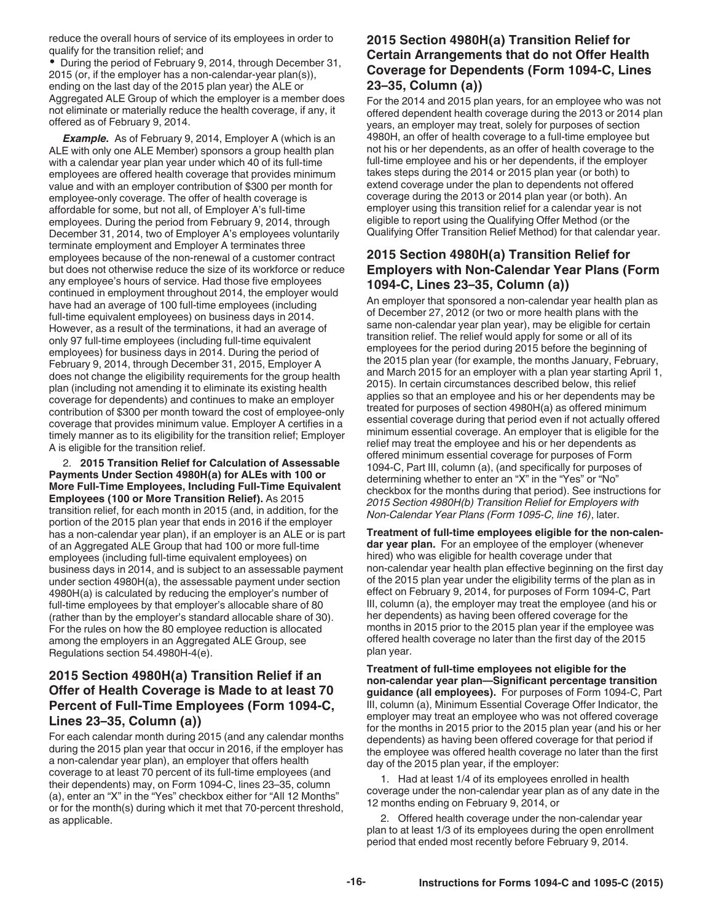reduce the overall hours of service of its employees in order to qualify for the transition relief; and

During the period of February 9, 2014, through December 31, 2015 (or, if the employer has a non-calendar-year plan(s)), ending on the last day of the 2015 plan year) the ALE or Aggregated ALE Group of which the employer is a member does not eliminate or materially reduce the health coverage, if any, it offered as of February 9, 2014.

**Example.** As of February 9, 2014, Employer A (which is an ALE with only one ALE Member) sponsors a group health plan with a calendar year plan year under which 40 of its full-time employees are offered health coverage that provides minimum value and with an employer contribution of \$300 per month for employee-only coverage. The offer of health coverage is affordable for some, but not all, of Employer A's full-time employees. During the period from February 9, 2014, through December 31, 2014, two of Employer A's employees voluntarily terminate employment and Employer A terminates three employees because of the non-renewal of a customer contract but does not otherwise reduce the size of its workforce or reduce any employee's hours of service. Had those five employees continued in employment throughout 2014, the employer would have had an average of 100 full-time employees (including full-time equivalent employees) on business days in 2014. However, as a result of the terminations, it had an average of only 97 full-time employees (including full-time equivalent employees) for business days in 2014. During the period of February 9, 2014, through December 31, 2015, Employer A does not change the eligibility requirements for the group health plan (including not amending it to eliminate its existing health coverage for dependents) and continues to make an employer contribution of \$300 per month toward the cost of employee-only coverage that provides minimum value. Employer A certifies in a timely manner as to its eligibility for the transition relief; Employer A is eligible for the transition relief.

2. **2015 Transition Relief for Calculation of Assessable Payments Under Section 4980H(a) for ALEs with 100 or More Full-Time Employees, Including Full-Time Equivalent Employees (100 or More Transition Relief).** As 2015 transition relief, for each month in 2015 (and, in addition, for the portion of the 2015 plan year that ends in 2016 if the employer has a non-calendar year plan), if an employer is an ALE or is part of an Aggregated ALE Group that had 100 or more full-time employees (including full-time equivalent employees) on business days in 2014, and is subject to an assessable payment under section 4980H(a), the assessable payment under section 4980H(a) is calculated by reducing the employer's number of full-time employees by that employer's allocable share of 80 (rather than by the employer's standard allocable share of 30). For the rules on how the 80 employee reduction is allocated among the employers in an Aggregated ALE Group, see Regulations section 54.4980H-4(e).

## **2015 Section 4980H(a) Transition Relief if an Offer of Health Coverage is Made to at least 70 Percent of Full-Time Employees (Form 1094-C, Lines 23–35, Column (a))**

For each calendar month during 2015 (and any calendar months during the 2015 plan year that occur in 2016, if the employer has a non-calendar year plan), an employer that offers health coverage to at least 70 percent of its full-time employees (and their dependents) may, on Form 1094-C, lines 23–35, column (a), enter an "X" in the "Yes" checkbox either for "All 12 Months" or for the month(s) during which it met that 70-percent threshold, as applicable.

## **2015 Section 4980H(a) Transition Relief for Certain Arrangements that do not Offer Health Coverage for Dependents (Form 1094-C, Lines 23–35, Column (a))**

For the 2014 and 2015 plan years, for an employee who was not offered dependent health coverage during the 2013 or 2014 plan years, an employer may treat, solely for purposes of section 4980H, an offer of health coverage to a full-time employee but not his or her dependents, as an offer of health coverage to the full-time employee and his or her dependents, if the employer takes steps during the 2014 or 2015 plan year (or both) to extend coverage under the plan to dependents not offered coverage during the 2013 or 2014 plan year (or both). An employer using this transition relief for a calendar year is not eligible to report using the Qualifying Offer Method (or the Qualifying Offer Transition Relief Method) for that calendar year.

## **2015 Section 4980H(a) Transition Relief for Employers with Non-Calendar Year Plans (Form 1094-C, Lines 23–35, Column (a))**

An employer that sponsored a non-calendar year health plan as of December 27, 2012 (or two or more health plans with the same non-calendar year plan year), may be eligible for certain transition relief. The relief would apply for some or all of its employees for the period during 2015 before the beginning of the 2015 plan year (for example, the months January, February, and March 2015 for an employer with a plan year starting April 1, 2015). In certain circumstances described below, this relief applies so that an employee and his or her dependents may be treated for purposes of section 4980H(a) as offered minimum essential coverage during that period even if not actually offered minimum essential coverage. An employer that is eligible for the relief may treat the employee and his or her dependents as offered minimum essential coverage for purposes of Form 1094-C, Part III, column (a), (and specifically for purposes of determining whether to enter an "X" in the "Yes" or "No" checkbox for the months during that period). See instructions for *2015 Section 4980H(b) Transition Relief for Employers with Non-Calendar Year Plans (Form 1095-C, line 16)*, later.

**Treatment of full-time employees eligible for the non-calendar year plan.** For an employee of the employer (whenever hired) who was eligible for health coverage under that non-calendar year health plan effective beginning on the first day of the 2015 plan year under the eligibility terms of the plan as in effect on February 9, 2014, for purposes of Form 1094-C, Part III, column (a), the employer may treat the employee (and his or her dependents) as having been offered coverage for the months in 2015 prior to the 2015 plan year if the employee was offered health coverage no later than the first day of the 2015 plan year.

**Treatment of full-time employees not eligible for the non-calendar year plan—Significant percentage transition guidance (all employees).** For purposes of Form 1094-C, Part III, column (a), Minimum Essential Coverage Offer Indicator, the employer may treat an employee who was not offered coverage for the months in 2015 prior to the 2015 plan year (and his or her dependents) as having been offered coverage for that period if the employee was offered health coverage no later than the first day of the 2015 plan year, if the employer:

1. Had at least 1/4 of its employees enrolled in health coverage under the non-calendar year plan as of any date in the 12 months ending on February 9, 2014, or

2. Offered health coverage under the non-calendar year plan to at least 1/3 of its employees during the open enrollment period that ended most recently before February 9, 2014.